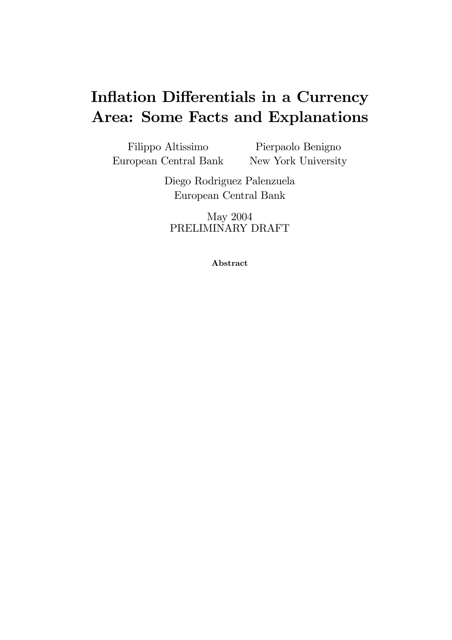# Inflation Differentials in a Currency Area: Some Facts and Explanations

Filippo Altissimo European Central Bank Pierpaolo Benigno New York University

> Diego Rodriguez Palenzuela European Central Bank

May 2004 PRELIMINARY DRAFT

Abstract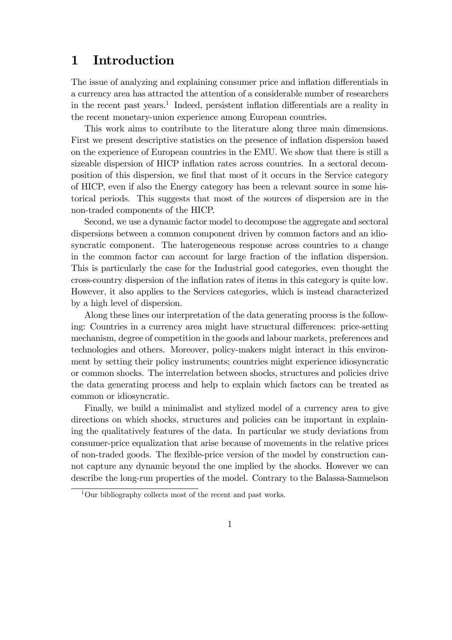# 1 Introduction

The issue of analyzing and explaining consumer price and inflation differentials in a currency area has attracted the attention of a considerable number of researchers in the recent past years.<sup>1</sup> Indeed, persistent inflation differentials are a reality in the recent monetary-union experience among European countries.

This work aims to contribute to the literature along three main dimensions. First we present descriptive statistics on the presence of inflation dispersion based on the experience of European countries in the EMU. We show that there is still a sizeable dispersion of HICP inflation rates across countries. In a sectoral decomposition of this dispersion, we find that most of it occurs in the Service category of HICP, even if also the Energy category has been a relevant source in some historical periods. This suggests that most of the sources of dispersion are in the non-traded components of the HICP.

Second, we use a dynamic factor model to decompose the aggregate and sectoral dispersions between a common component driven by common factors and an idiosyncratic component. The haterogeneous response across countries to a change in the common factor can account for large fraction of the inflation dispersion. This is particularly the case for the Industrial good categories, even thought the cross-country dispersion of the inflation rates of items in this category is quite low. However, it also applies to the Services categories, which is instead characterized by a high level of dispersion.

Along these lines our interpretation of the data generating process is the following: Countries in a currency area might have structural differences: price-setting mechanism, degree of competition in the goods and labour markets, preferences and technologies and others. Moreover, policy-makers might interact in this environment by setting their policy instruments; countries might experience idiosyncratic or common shocks. The interrelation between shocks, structures and policies drive the data generating process and help to explain which factors can be treated as common or idiosyncratic.

Finally, we build a minimalist and stylized model of a currency area to give directions on which shocks, structures and policies can be important in explaining the qualitatively features of the data. In particular we study deviations from consumer-price equalization that arise because of movements in the relative prices of non-traded goods. The flexible-price version of the model by construction cannot capture any dynamic beyond the one implied by the shocks. However we can describe the long-run properties of the model. Contrary to the Balassa-Samuelson

 $1$ Our bibliography collects most of the recent and past works.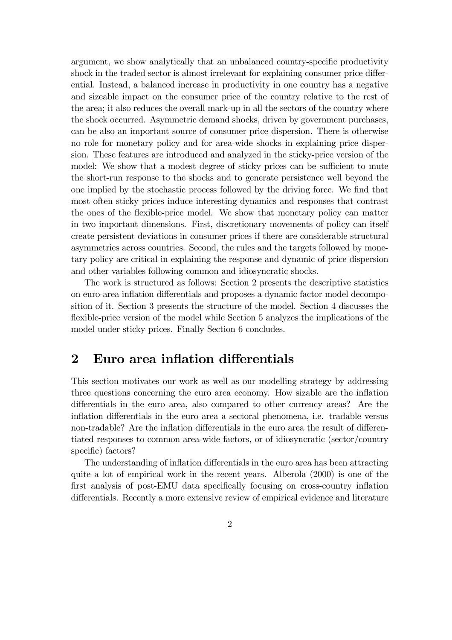argument, we show analytically that an unbalanced country-specific productivity shock in the traded sector is almost irrelevant for explaining consumer price differential. Instead, a balanced increase in productivity in one country has a negative and sizeable impact on the consumer price of the country relative to the rest of the area; it also reduces the overall mark-up in all the sectors of the country where the shock occurred. Asymmetric demand shocks, driven by government purchases, can be also an important source of consumer price dispersion. There is otherwise no role for monetary policy and for area-wide shocks in explaining price dispersion. These features are introduced and analyzed in the sticky-price version of the model: We show that a modest degree of sticky prices can be sufficient to mute the short-run response to the shocks and to generate persistence well beyond the one implied by the stochastic process followed by the driving force. We find that most often sticky prices induce interesting dynamics and responses that contrast the ones of the flexible-price model. We show that monetary policy can matter in two important dimensions. First, discretionary movements of policy can itself create persistent deviations in consumer prices if there are considerable structural asymmetries across countries. Second, the rules and the targets followed by monetary policy are critical in explaining the response and dynamic of price dispersion and other variables following common and idiosyncratic shocks.

The work is structured as follows: Section 2 presents the descriptive statistics on euro-area inflation differentials and proposes a dynamic factor model decomposition of it. Section 3 presents the structure of the model. Section 4 discusses the flexible-price version of the model while Section 5 analyzes the implications of the model under sticky prices. Finally Section 6 concludes.

## 2 Euro area inflation differentials

This section motivates our work as well as our modelling strategy by addressing three questions concerning the euro area economy. How sizable are the inflation differentials in the euro area, also compared to other currency areas? Are the inflation differentials in the euro area a sectoral phenomena, i.e. tradable versus non-tradable? Are the inflation differentials in the euro area the result of differentiated responses to common area-wide factors, or of idiosyncratic (sector/country specific) factors?

The understanding of inflation differentials in the euro area has been attracting quite a lot of empirical work in the recent years. Alberola (2000) is one of the first analysis of post-EMU data specifically focusing on cross-country inflation differentials. Recently a more extensive review of empirical evidence and literature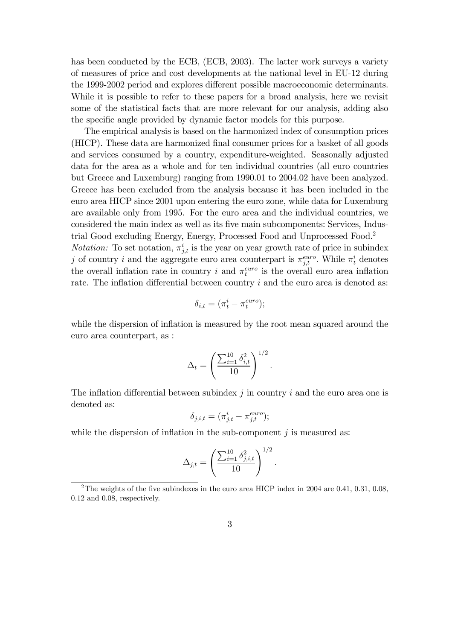has been conducted by the ECB, (ECB, 2003). The latter work surveys a variety of measures of price and cost developments at the national level in EU-12 during the 1999-2002 period and explores different possible macroeconomic determinants. While it is possible to refer to these papers for a broad analysis, here we revisit some of the statistical facts that are more relevant for our analysis, adding also the specific angle provided by dynamic factor models for this purpose.

The empirical analysis is based on the harmonized index of consumption prices (HICP). These data are harmonized final consumer prices for a basket of all goods and services consumed by a country, expenditure-weighted. Seasonally adjusted data for the area as a whole and for ten individual countries (all euro countries but Greece and Luxemburg) ranging from 1990.01 to 2004.02 have been analyzed. Greece has been excluded from the analysis because it has been included in the euro area HICP since 2001 upon entering the euro zone, while data for Luxemburg are available only from 1995. For the euro area and the individual countries, we considered the main index as well as its five main subcomponents: Services, Industrial Good excluding Energy, Energy, Processed Food and Unprocessed Food.2

*Notation:* To set notation,  $\pi_{j,t}^i$  is the year on year growth rate of price in subindex j of country *i* and the aggregate euro area counterpart is  $\pi_{j,t}^{euro}$ . While  $\pi_t^i$  denotes the overall inflation rate in country i and  $\pi_t^{euro}$  is the overall euro area inflation rate. The inflation differential between country  $i$  and the euro area is denoted as:

$$
\delta_{i,t} = (\pi_t^i - \pi_t^{euro});
$$

while the dispersion of inflation is measured by the root mean squared around the euro area counterpart, as :

$$
\Delta_t = \left(\frac{\sum_{i=1}^{10} \delta_{i,t}^2}{10}\right)^{1/2}.
$$

The inflation differential between subindex  $j$  in country  $i$  and the euro area one is denoted as:

$$
\delta_{j,i,t} = (\pi^i_{j,t} - \pi^{euro}_{j,t});
$$

while the dispersion of inflation in the sub-component  $j$  is measured as:

$$
\Delta_{j,t} = \left(\frac{\sum_{i=1}^{10} \delta_{j,i,t}^2}{10}\right)^{1/2}
$$

 $\ddot{\cdot}$ 

<sup>&</sup>lt;sup>2</sup>The weights of the five subindexes in the euro area HICP index in 2004 are 0.41, 0.31, 0.08, 0.12 and 0.08, respectively.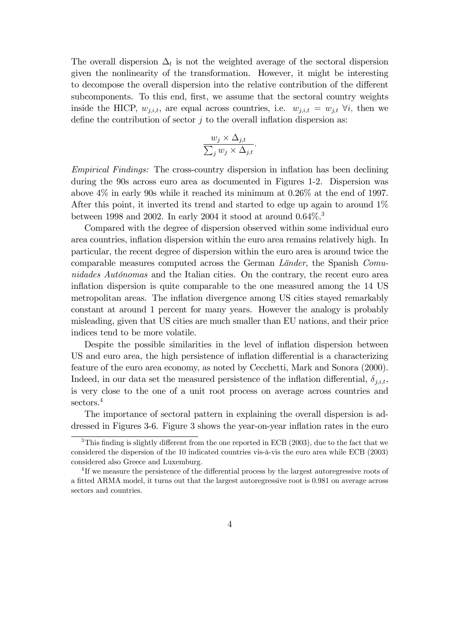The overall dispersion  $\Delta_t$  is not the weighted average of the sectoral dispersion given the nonlinearity of the transformation. However, it might be interesting to decompose the overall dispersion into the relative contribution of the different subcomponents. To this end, first, we assume that the sectoral country weights inside the HICP,  $w_{j,i,t}$ , are equal across countries, i.e.  $w_{j,i,t} = w_{j,t} \ \forall i$ , then we define the contribution of sector  $j$  to the overall inflation dispersion as:

$$
\frac{w_j \times \Delta_{j,t}}{\sum_j w_j \times \Delta_{j,t}}.
$$

Empirical Findings: The cross-country dispersion in inflation has been declining during the 90s across euro area as documented in Figures 1-2. Dispersion was above 4% in early 90s while it reached its minimum at 0.26% at the end of 1997. After this point, it inverted its trend and started to edge up again to around 1% between 1998 and 2002. In early 2004 it stood at around  $0.64\%$ <sup>3</sup>

Compared with the degree of dispersion observed within some individual euro area countries, inflation dispersion within the euro area remains relatively high. In particular, the recent degree of dispersion within the euro area is around twice the comparable measures computed across the German Länder, the Spanish Comunidades Autónomas and the Italian cities. On the contrary, the recent euro area inflation dispersion is quite comparable to the one measured among the 14 US metropolitan areas. The inflation divergence among US cities stayed remarkably constant at around 1 percent for many years. However the analogy is probably misleading, given that US cities are much smaller than EU nations, and their price indices tend to be more volatile.

Despite the possible similarities in the level of inflation dispersion between US and euro area, the high persistence of inflation differential is a characterizing feature of the euro area economy, as noted by Cecchetti, Mark and Sonora (2000). Indeed, in our data set the measured persistence of the inflation differential,  $\delta_{j,i,t}$ , is very close to the one of a unit root process on average across countries and sectors.<sup>4</sup>

The importance of sectoral pattern in explaining the overall dispersion is addressed in Figures 3-6. Figure 3 shows the year-on-year inflation rates in the euro

<sup>&</sup>lt;sup>3</sup>This finding is slightly different from the one reported in ECB (2003), due to the fact that we considered the dispersion of the 10 indicated countries vis- $\grave{a}$ -vis the euro area while ECB (2003) considered also Greece and Luxemburg.

<sup>4</sup> If we measure the persistence of the differential process by the largest autoregressive roots of a fitted ARMA model, it turns out that the largest autoregressive root is 0.981 on average across sectors and countries.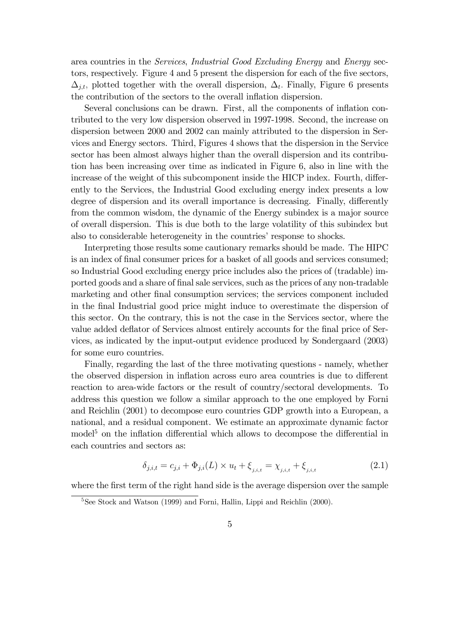area countries in the Services, Industrial Good Excluding Energy and Energy sectors, respectively. Figure 4 and 5 present the dispersion for each of the five sectors,  $\Delta_{j,t}$ , plotted together with the overall dispersion,  $\Delta_t$ . Finally, Figure 6 presents the contribution of the sectors to the overall inflation dispersion.

Several conclusions can be drawn. First, all the components of inflation contributed to the very low dispersion observed in 1997-1998. Second, the increase on dispersion between 2000 and 2002 can mainly attributed to the dispersion in Services and Energy sectors. Third, Figures 4 shows that the dispersion in the Service sector has been almost always higher than the overall dispersion and its contribution has been increasing over time as indicated in Figure 6, also in line with the increase of the weight of this subcomponent inside the HICP index. Fourth, differently to the Services, the Industrial Good excluding energy index presents a low degree of dispersion and its overall importance is decreasing. Finally, differently from the common wisdom, the dynamic of the Energy subindex is a major source of overall dispersion. This is due both to the large volatility of this subindex but also to considerable heterogeneity in the countries' response to shocks.

Interpreting those results some cautionary remarks should be made. The HIPC is an index of final consumer prices for a basket of all goods and services consumed; so Industrial Good excluding energy price includes also the prices of (tradable) imported goods and a share of final sale services, such as the prices of any non-tradable marketing and other final consumption services; the services component included in the final Industrial good price might induce to overestimate the dispersion of this sector. On the contrary, this is not the case in the Services sector, where the value added deflator of Services almost entirely accounts for the final price of Services, as indicated by the input-output evidence produced by Sondergaard (2003) for some euro countries.

Finally, regarding the last of the three motivating questions - namely, whether the observed dispersion in inflation across euro area countries is due to different reaction to area-wide factors or the result of country/sectoral developments. To address this question we follow a similar approach to the one employed by Forni and Reichlin (2001) to decompose euro countries GDP growth into a European, a national, and a residual component. We estimate an approximate dynamic factor model<sup>5</sup> on the inflation differential which allows to decompose the differential in each countries and sectors as:

$$
\delta_{j,i,t} = c_{j,i} + \Phi_{j,i}(L) \times u_t + \xi_{j,i,t} = \chi_{j,i,t} + \xi_{j,i,t}
$$
\n(2.1)

where the first term of the right hand side is the average dispersion over the sample

<sup>&</sup>lt;sup>5</sup>See Stock and Watson (1999) and Forni, Hallin, Lippi and Reichlin (2000).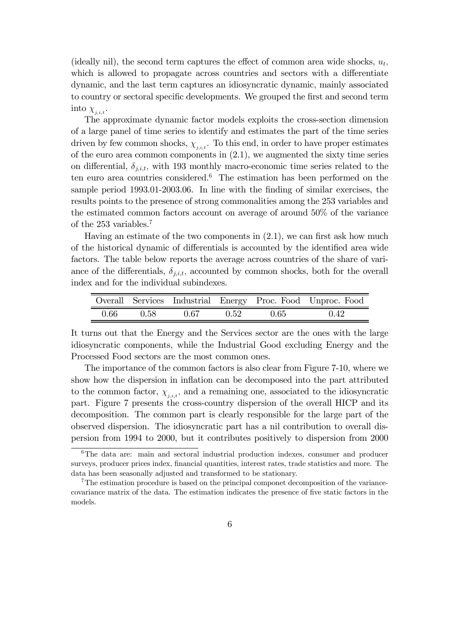(ideally nil), the second term captures the effect of common area wide shocks,  $u_t$ , which is allowed to propagate across countries and sectors with a differentiate dynamic, and the last term captures an idiosyncratic dynamic, mainly associated to country or sectoral specific developments. We grouped the first and second term into  $\chi_{j,i,t}$ .

The approximate dynamic factor models exploits the cross-section dimension of a large panel of time series to identify and estimates the part of the time series driven by few common shocks,  $\chi_{j,i,t}$ . To this end, in order to have proper estimates of the euro area common components in (2.1), we augmented the sixty time series on differential,  $\delta_{j,i,t}$ , with 193 monthly macro-economic time series related to the ten euro area countries considered.<sup>6</sup> The estimation has been performed on the sample period 1993.01-2003.06. In line with the finding of similar exercises, the results points to the presence of strong commonalities among the 253 variables and the estimated common factors account on average of around 50% of the variance of the 253 variables.7

Having an estimate of the two components in (2.1), we can first ask how much of the historical dynamic of differentials is accounted by the identified area wide factors. The table below reports the average across countries of the share of variance of the differentials,  $\delta_{j,i,t}$ , accounted by common shocks, both for the overall index and for the individual subindexes.

|      |      |      |      |      | Overall Services Industrial Energy Proc. Food Unproc. Food |
|------|------|------|------|------|------------------------------------------------------------|
| 0.66 | 0.58 | 0.67 | 0.52 | 0.65 | 0.42                                                       |

It turns out that the Energy and the Services sector are the ones with the large idiosyncratic components, while the Industrial Good excluding Energy and the Processed Food sectors are the most common ones.

The importance of the common factors is also clear from Figure 7-10, where we show how the dispersion in inflation can be decomposed into the part attributed to the common factor,  $\chi_{j,i,t}$ , and a remaining one, associated to the idiosyncratic part. Figure 7 presents the cross-country dispersion of the overall HICP and its decomposition. The common part is clearly responsible for the large part of the observed dispersion. The idiosyncratic part has a nil contribution to overall dispersion from 1994 to 2000, but it contributes positively to dispersion from 2000

<sup>&</sup>lt;sup>6</sup>The data are: main and sectoral industrial production indexes, consumer and producer surveys, producer prices index, financial quantities, interest rates, trade statistics and more. The data has been seasonally adjusted and transformed to be stationary.

<sup>7</sup>The estimation procedure is based on the principal componet decomposition of the variancecovariance matrix of the data. The estimation indicates the presence of five static factors in the models.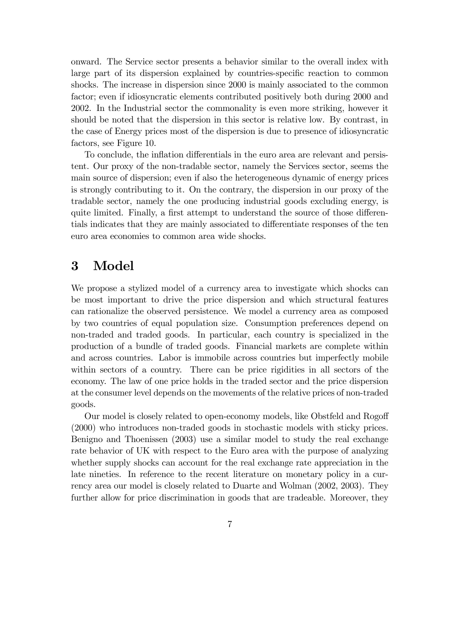onward. The Service sector presents a behavior similar to the overall index with large part of its dispersion explained by countries-specific reaction to common shocks. The increase in dispersion since 2000 is mainly associated to the common factor; even if idiosyncratic elements contributed positively both during 2000 and 2002. In the Industrial sector the commonality is even more striking, however it should be noted that the dispersion in this sector is relative low. By contrast, in the case of Energy prices most of the dispersion is due to presence of idiosyncratic factors, see Figure 10.

To conclude, the inflation differentials in the euro area are relevant and persistent. Our proxy of the non-tradable sector, namely the Services sector, seems the main source of dispersion; even if also the heterogeneous dynamic of energy prices is strongly contributing to it. On the contrary, the dispersion in our proxy of the tradable sector, namely the one producing industrial goods excluding energy, is quite limited. Finally, a first attempt to understand the source of those differentials indicates that they are mainly associated to differentiate responses of the ten euro area economies to common area wide shocks.

# 3 Model

We propose a stylized model of a currency area to investigate which shocks can be most important to drive the price dispersion and which structural features can rationalize the observed persistence. We model a currency area as composed by two countries of equal population size. Consumption preferences depend on non-traded and traded goods. In particular, each country is specialized in the production of a bundle of traded goods. Financial markets are complete within and across countries. Labor is immobile across countries but imperfectly mobile within sectors of a country. There can be price rigidities in all sectors of the economy. The law of one price holds in the traded sector and the price dispersion at the consumer level depends on the movements of the relative prices of non-traded goods.

Our model is closely related to open-economy models, like Obstfeld and Rogoff (2000) who introduces non-traded goods in stochastic models with sticky prices. Benigno and Thoenissen (2003) use a similar model to study the real exchange rate behavior of UK with respect to the Euro area with the purpose of analyzing whether supply shocks can account for the real exchange rate appreciation in the late nineties. In reference to the recent literature on monetary policy in a currency area our model is closely related to Duarte and Wolman (2002, 2003). They further allow for price discrimination in goods that are tradeable. Moreover, they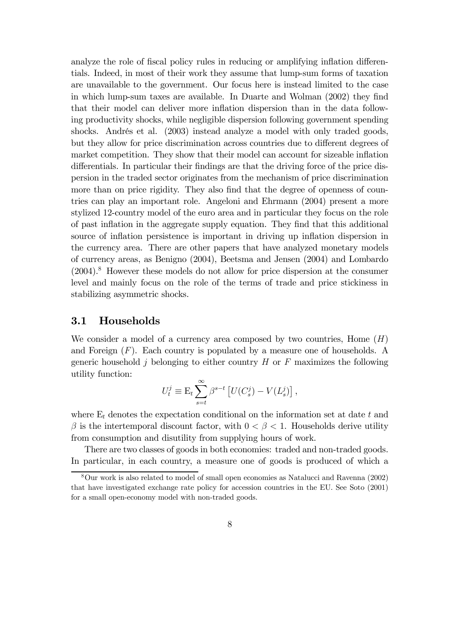analyze the role of fiscal policy rules in reducing or amplifying inflation differentials. Indeed, in most of their work they assume that lump-sum forms of taxation are unavailable to the government. Our focus here is instead limited to the case in which lump-sum taxes are available. In Duarte and Wolman (2002) they find that their model can deliver more inflation dispersion than in the data following productivity shocks, while negligible dispersion following government spending shocks. Andrés et al. (2003) instead analyze a model with only traded goods, but they allow for price discrimination across countries due to different degrees of market competition. They show that their model can account for sizeable inflation differentials. In particular their findings are that the driving force of the price dispersion in the traded sector originates from the mechanism of price discrimination more than on price rigidity. They also find that the degree of openness of countries can play an important role. Angeloni and Ehrmann (2004) present a more stylized 12-country model of the euro area and in particular they focus on the role of past inflation in the aggregate supply equation. They find that this additional source of inflation persistence is important in driving up inflation dispersion in the currency area. There are other papers that have analyzed monetary models of currency areas, as Benigno (2004), Beetsma and Jensen (2004) and Lombardo  $(2004).$ <sup>8</sup> However these models do not allow for price dispersion at the consumer level and mainly focus on the role of the terms of trade and price stickiness in stabilizing asymmetric shocks.

#### 3.1 Households

We consider a model of a currency area composed by two countries, Home  $(H)$ and Foreign  $(F)$ . Each country is populated by a measure one of households. A generic household  $j$  belonging to either country  $H$  or  $F$  maximizes the following utility function:

$$
U_t^j \equiv \mathcal{E}_t \sum_{s=t}^{\infty} \beta^{s-t} \left[ U(C_s^j) - V(L_s^j) \right],
$$

where  $E_t$  denotes the expectation conditional on the information set at date  $t$  and  $\beta$  is the intertemporal discount factor, with  $0 < \beta < 1$ . Households derive utility from consumption and disutility from supplying hours of work.

There are two classes of goods in both economies: traded and non-traded goods. In particular, in each country, a measure one of goods is produced of which a

<sup>8</sup>Our work is also related to model of small open economies as Natalucci and Ravenna (2002) that have investigated exchange rate policy for accession countries in the EU. See Soto (2001) for a small open-economy model with non-traded goods.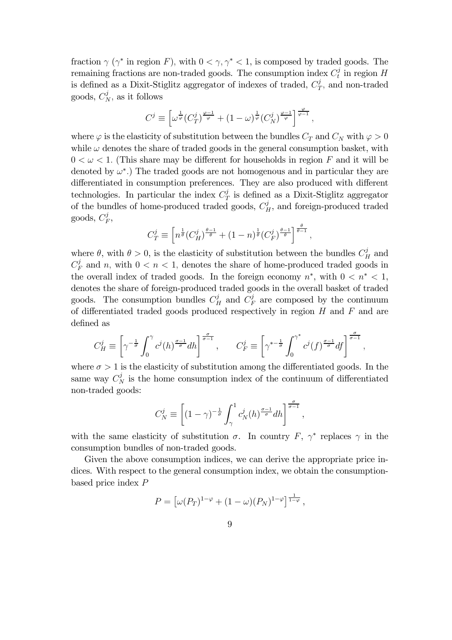fraction  $\gamma$  ( $\gamma^*$  in region F), with  $0 < \gamma, \gamma^* < 1$ , is composed by traded goods. The remaining fractions are non-traded goods. The consumption index  $C_t^j$  in region  $H$ is defined as a Dixit-Stiglitz aggregator of indexes of traded,  $C_T^j$ , and non-traded goods,  $C_N^j$ , as it follows

$$
C^j \equiv \left[ \omega^{\frac{1}{\varphi}} (C_T^j)^{\frac{\varphi-1}{\varphi}} + (1-\omega)^{\frac{1}{\varphi}} (C_N^j)^{\frac{\varphi-1}{\varphi}} \right]^{\frac{\varphi}{\varphi-1}},
$$

where  $\varphi$  is the elasticity of substitution between the bundles  $C_T$  and  $C_N$  with  $\varphi > 0$ while  $\omega$  denotes the share of traded goods in the general consumption basket, with  $0 < \omega < 1$ . (This share may be different for households in region F and it will be denoted by  $\omega^*$ .) The traded goods are not homogenous and in particular they are differentiated in consumption preferences. They are also produced with different technologies. In particular the index  $C_T^j$  is defined as a Dixit-Stiglitz aggregator of the bundles of home-produced traded goods,  $C_H^j$ , and foreign-produced traded goods,  $C_F^j$ ,

$$
C_T^j \equiv \left[ n^{\frac{1}{\theta}} \left( C_H^j \right)^{\frac{\theta - 1}{\theta}} + (1 - n)^{\frac{1}{\theta}} \left( C_F^j \right)^{\frac{\theta - 1}{\theta}} \right]^{\frac{\theta}{\theta - 1}},
$$

where  $\theta$ , with  $\theta > 0$ , is the elasticity of substitution between the bundles  $C_H^j$  and  $C_F^j$  and n, with  $0 < n < 1$ , denotes the share of home-produced traded goods in the overall index of traded goods. In the foreign economy  $n^*$ , with  $0 \lt n^* \lt 1$ , denotes the share of foreign-produced traded goods in the overall basket of traded goods. The consumption bundles  $C_H^j$  and  $C_F^j$  are composed by the continuum of differentiated traded goods produced respectively in region  $H$  and  $F$  and are defined as

$$
C_H^j \equiv \left[ \gamma^{-\frac{1}{\sigma}} \int_0^\gamma c^j(h)^{\frac{\sigma-1}{\sigma}} dh \right]^{\frac{\sigma}{\sigma-1}}, \qquad C_F^j \equiv \left[ \gamma^{*- \frac{1}{\sigma}} \int_0^{\gamma^*} c^j(f)^{\frac{\sigma-1}{\sigma}} df \right]^{\frac{\sigma}{\sigma-1}},
$$

where  $\sigma > 1$  is the elasticity of substitution among the differentiated goods. In the same way  $C_N^j$  is the home consumption index of the continuum of differentiated non-traded goods:

$$
C_N^j \equiv \left[ (1 - \gamma)^{-\frac{1}{\sigma}} \int_{\gamma}^1 c_N^j(h)^{\frac{\sigma - 1}{\sigma}} dh \right]^{\frac{\sigma}{\sigma - 1}},
$$

with the same elasticity of substitution  $\sigma$ . In country F,  $\gamma^*$  replaces  $\gamma$  in the consumption bundles of non-traded goods.

Given the above consumption indices, we can derive the appropriate price indices. With respect to the general consumption index, we obtain the consumptionbased price index  $P$ 

$$
P = \left[\omega(P_T)^{1-\varphi} + (1-\omega)(P_N)^{1-\varphi}\right]^{\frac{1}{1-\varphi}},
$$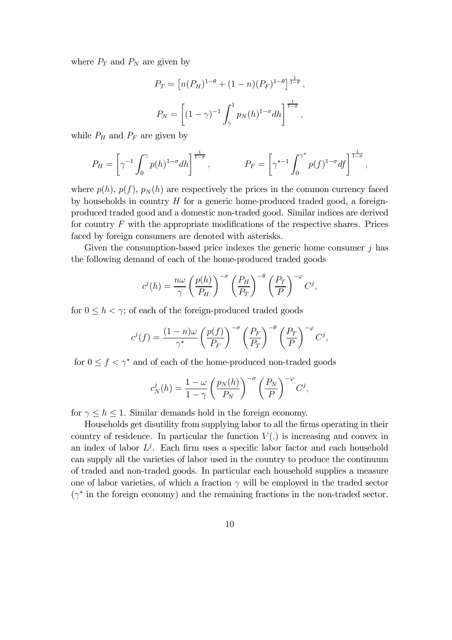where  $P_T$  and  $P_N$  are given by

$$
P_T = [n(P_H)^{1-\theta} + (1-n)(P_F)^{1-\theta}]^{\frac{1}{1-\theta}},
$$
  

$$
P_N = \left[ (1-\gamma)^{-1} \int_{\gamma}^1 p_N(h)^{1-\sigma} dh \right]^{\frac{1}{1-\sigma}},
$$

while  $P_H$  and  $P_F$  are given by

$$
P_H = \left[ \gamma^{-1} \int_0^{\gamma} p(h)^{1-\sigma} dh \right]^{\frac{1}{1-\sigma}}, \qquad P_F = \left[ \gamma^{*-1} \int_0^{\gamma^*} p(f)^{1-\sigma} df \right]^{\frac{1}{1-\sigma}},
$$

where  $p(h)$ ,  $p(f)$ ,  $p_N(h)$  are respectively the prices in the common currency faced by households in country  $H$  for a generic home-produced traded good, a foreignproduced traded good and a domestic non-traded good. Similar indices are derived for country  $F$  with the appropriate modifications of the respective shares. Prices faced by foreign consumers are denoted with asterisks.

Given the consumption-based price indexes the generic home consumer  $j$  has the following demand of each of the home-produced traded goods

$$
c^{j}(h) = \frac{n\omega}{\gamma} \left(\frac{p(h)}{P_H}\right)^{-\sigma} \left(\frac{P_H}{P_T}\right)^{-\theta} \left(\frac{P_T}{P}\right)^{-\varphi} C^{j},
$$

for  $0 \leq h < \gamma$ ; of each of the foreign-produced traded goods

$$
c^{j}(f) = \frac{(1-n)\omega}{\gamma^*} \left(\frac{p(f)}{P_F}\right)^{-\sigma} \left(\frac{P_F}{P_T}\right)^{-\theta} \left(\frac{P_T}{P}\right)^{-\varphi} C^{j},
$$

for  $0 \le f < \gamma^*$  and of each of the home-produced non-traded goods

$$
c_N^j(h) = \frac{1-\omega}{1-\gamma} \left(\frac{p_N(h)}{P_N}\right)^{-\sigma} \left(\frac{P_N}{P}\right)^{-\varphi} C^j,
$$

for  $\gamma \leq h \leq 1$ . Similar demands hold in the foreign economy.

Households get disutility from supplying labor to all the firms operating in their country of residence. In particular the function  $V(.)$  is increasing and convex in an index of labor  $L^j$ . Each firm uses a specific labor factor and each household can supply all the varieties of labor used in the country to produce the continuum of traded and non-traded goods. In particular each household supplies a measure one of labor varieties, of which a fraction  $\gamma$  will be employed in the traded sector  $(\gamma^*)$  in the foreign economy) and the remaining fractions in the non-traded sector.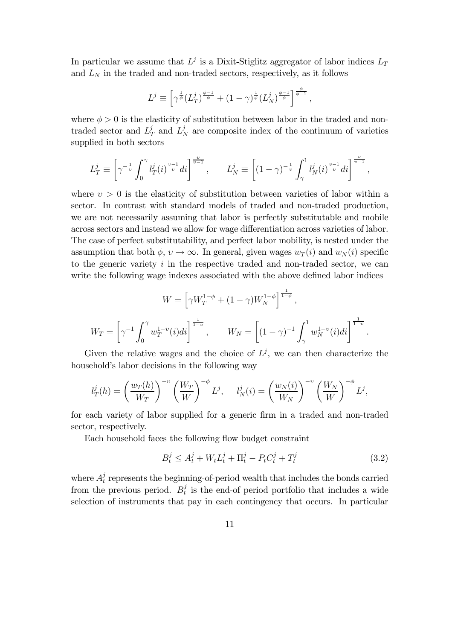In particular we assume that  $L^j$  is a Dixit-Stiglitz aggregator of labor indices  $L_T$ and  $L<sub>N</sub>$  in the traded and non-traded sectors, respectively, as it follows

$$
L^{j} \equiv \left[ \gamma^{\frac{1}{\phi}} (L_{T}^{j})^{\frac{\phi-1}{\phi}} + (1 - \gamma)^{\frac{1}{\phi}} (L_{N}^{j})^{\frac{\phi-1}{\phi}} \right]^{\frac{\phi}{\phi-1}},
$$

where  $\phi > 0$  is the elasticity of substitution between labor in the traded and nontraded sector and  $L_T^j$  and  $L_N^j$  are composite index of the continuum of varieties supplied in both sectors

$$
L_T^j \equiv \left[ \gamma^{-\frac{1}{\upsilon}} \int_0^{\gamma} l_T^j(i)^{\frac{\upsilon - 1}{\upsilon}} di \right]^{\frac{\upsilon}{\upsilon - 1}}, \qquad L_N^j \equiv \left[ (1 - \gamma)^{-\frac{1}{\upsilon}} \int_{\gamma}^1 l_N^j(i)^{\frac{\upsilon - 1}{\upsilon}} di \right]^{\frac{\upsilon}{\upsilon - 1}},
$$

where  $v > 0$  is the elasticity of substitution between varieties of labor within a sector. In contrast with standard models of traded and non-traded production, we are not necessarily assuming that labor is perfectly substitutable and mobile across sectors and instead we allow for wage differentiation across varieties of labor. The case of perfect substitutability, and perfect labor mobility, is nested under the assumption that both  $\phi, v \to \infty$ . In general, given wages  $w_T(i)$  and  $w_N(i)$  specific to the generic variety  $i$  in the respective traded and non-traded sector, we can write the following wage indexes associated with the above defined labor indices

$$
W = \left[\gamma W_T^{1-\phi} + (1-\gamma)W_N^{1-\phi}\right]^{\frac{1}{1-\phi}},
$$
  

$$
W_T = \left[\gamma^{-1} \int_0^{\gamma} w_T^{1-v}(i)di\right]^{\frac{1}{1-v}}, \qquad W_N = \left[(1-\gamma)^{-1} \int_{\gamma}^1 w_N^{1-v}(i)di\right]^{\frac{1}{1-v}}.
$$

Given the relative wages and the choice of  $L^j$ , we can then characterize the household's labor decisions in the following way

$$
l_T^j(h) = \left(\frac{w_T(h)}{W_T}\right)^{-\nu} \left(\frac{W_T}{W}\right)^{-\phi} L^j, \quad l_N^j(i) = \left(\frac{w_N(i)}{W_N}\right)^{-\nu} \left(\frac{W_N}{W}\right)^{-\phi} L^j,
$$

for each variety of labor supplied for a generic firm in a traded and non-traded sector, respectively.

Each household faces the following flow budget constraint

$$
B_t^j \le A_t^j + W_t L_t^j + \Pi_t^j - P_t C_t^j + T_t^j \tag{3.2}
$$

where  $A_t^j$  represents the beginning-of-period wealth that includes the bonds carried from the previous period.  $B_t^j$  is the end-of period portfolio that includes a wide selection of instruments that pay in each contingency that occurs. In particular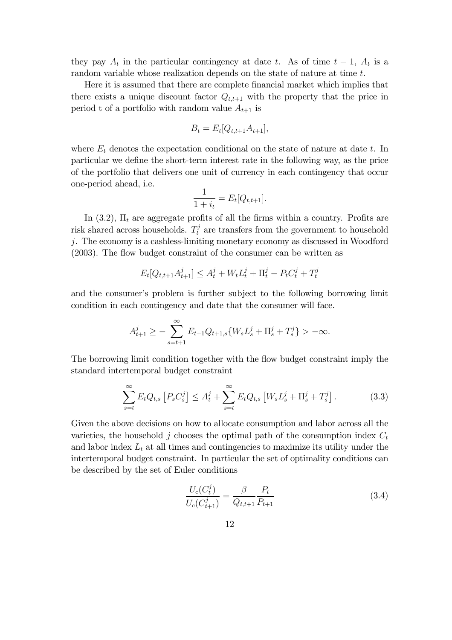they pay  $A_t$  in the particular contingency at date t. As of time  $t-1$ ,  $A_t$  is a random variable whose realization depends on the state of nature at time  $t$ .

Here it is assumed that there are complete financial market which implies that there exists a unique discount factor  $Q_{t,t+1}$  with the property that the price in period t of a portfolio with random value  $A_{t+1}$  is

$$
B_t = E_t[Q_{t,t+1}A_{t+1}],
$$

where  $E_t$  denotes the expectation conditional on the state of nature at date  $t$ . In particular we define the short-term interest rate in the following way, as the price of the portfolio that delivers one unit of currency in each contingency that occur one-period ahead, i.e.

$$
\frac{1}{1+i_t} = E_t[Q_{t,t+1}].
$$

In  $(3.2)$ ,  $\Pi_t$  are aggregate profits of all the firms within a country. Profits are risk shared across households.  $T_t^j$  are transfers from the government to household -. The economy is a cashless-limiting monetary economy as discussed in Woodford (2003). The flow budget constraint of the consumer can be written as

$$
E_t[Q_{t,t+1}A_{t+1}^j] \le A_t^j + W_t L_t^j + \Pi_t^j - P_t C_t^j + T_t^j
$$

and the consumer's problem is further subject to the following borrowing limit condition in each contingency and date that the consumer will face.

$$
A_{t+1}^{j} \geq -\sum_{s=t+1}^{\infty} E_{t+1} Q_{t+1,s} \{ W_s L_s^{j} + \Pi_s^{j} + T_s^{j} \} > -\infty.
$$

The borrowing limit condition together with the flow budget constraint imply the standard intertemporal budget constraint

$$
\sum_{s=t}^{\infty} E_t Q_{t,s} \left[ P_s C_s^j \right] \le A_t^j + \sum_{s=t}^{\infty} E_t Q_{t,s} \left[ W_s L_s^j + \Pi_s^j + T_s^j \right]. \tag{3.3}
$$

Given the above decisions on how to allocate consumption and labor across all the varieties, the household  $j$  chooses the optimal path of the consumption index  $C_t$ and labor index  $L_t$  at all times and contingencies to maximize its utility under the intertemporal budget constraint. In particular the set of optimality conditions can be described by the set of Euler conditions

$$
\frac{U_c(C_t^j)}{U_c(C_{t+1}^j)} = \frac{\beta}{Q_{t,t+1}} \frac{P_t}{P_{t+1}}
$$
\n(3.4)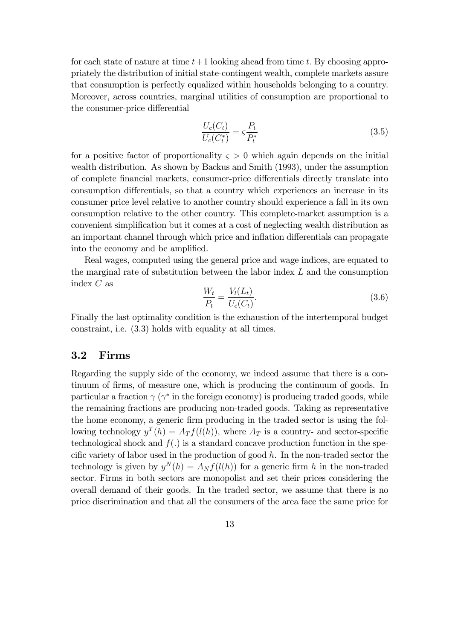for each state of nature at time  $t+1$  looking ahead from time t. By choosing appropriately the distribution of initial state-contingent wealth, complete markets assure that consumption is perfectly equalized within households belonging to a country. Moreover, across countries, marginal utilities of consumption are proportional to the consumer-price differential

$$
\frac{U_c(C_t)}{U_c(C_t^*)} = \varsigma \frac{P_t}{P_t^*} \tag{3.5}
$$

for a positive factor of proportionality  $\varsigma > 0$  which again depends on the initial wealth distribution. As shown by Backus and Smith (1993), under the assumption of complete financial markets, consumer-price differentials directly translate into consumption differentials, so that a country which experiences an increase in its consumer price level relative to another country should experience a fall in its own consumption relative to the other country. This complete-market assumption is a convenient simplification but it comes at a cost of neglecting wealth distribution as an important channel through which price and inflation differentials can propagate into the economy and be amplified.

Real wages, computed using the general price and wage indices, are equated to the marginal rate of substitution between the labor index  $L$  and the consumption index  $C$  as

$$
\frac{W_t}{P_t} = \frac{V_l(L_t)}{U_c(C_t)}.
$$
\n(3.6)

Finally the last optimality condition is the exhaustion of the intertemporal budget constraint, i.e. (3.3) holds with equality at all times.

## 3.2 Firms

Regarding the supply side of the economy, we indeed assume that there is a continuum of firms, of measure one, which is producing the continuum of goods. In particular a fraction  $\gamma$  ( $\gamma^*$  in the foreign economy) is producing traded goods, while the remaining fractions are producing non-traded goods. Taking as representative the home economy, a generic firm producing in the traded sector is using the following technology  $y^T(h) = A_T f(l(h))$ , where  $A_T$  is a country- and sector-specific technological shock and  $f(.)$  is a standard concave production function in the specific variety of labor used in the production of good  $h$ . In the non-traded sector the technology is given by  $y^N(h) = A_N f(l(h))$  for a generic firm h in the non-traded sector. Firms in both sectors are monopolist and set their prices considering the overall demand of their goods. In the traded sector, we assume that there is no price discrimination and that all the consumers of the area face the same price for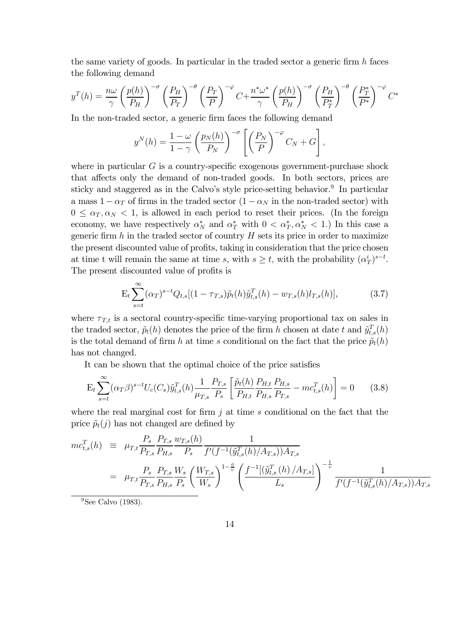the same variety of goods. In particular in the traded sector a generic firm  $h$  faces the following demand

$$
y^{T}(h) = \frac{n\omega}{\gamma} \left(\frac{p(h)}{P_H}\right)^{-\sigma} \left(\frac{P_H}{P_T}\right)^{-\theta} \left(\frac{P_T}{P}\right)^{-\varphi} C + \frac{n^*\omega^*}{\gamma} \left(\frac{p(h)}{P_H}\right)^{-\sigma} \left(\frac{P_H}{P_T^*}\right)^{-\theta} \left(\frac{P_T^*}{P^*}\right)^{-\varphi} C^*
$$

In the non-traded sector, a generic firm faces the following demand

$$
y^{N}(h) = \frac{1-\omega}{1-\gamma} \left(\frac{p_N(h)}{P_N}\right)^{-\sigma} \left[\left(\frac{P_N}{P}\right)^{-\varphi} C_N + G\right],
$$

where in particular  $G$  is a country-specific exogenous government-purchase shock that affects only the demand of non-traded goods. In both sectors, prices are sticky and staggered as in the Calvo's style price-setting behavior.<sup>9</sup> In particular a mass  $1 - \alpha_T$  of firms in the traded sector  $(1 - \alpha_N)$  in the non-traded sector) with  $0 \leq \alpha_T, \alpha_N < 1$ , is allowed in each period to reset their prices. (In the foreign economy, we have respectively  $\alpha_N^*$  and  $\alpha_T^*$  with  $0 < \alpha_T^*, \alpha_N^* < 1$ .) In this case a generic firm  $h$  in the traded sector of country  $H$  sets its price in order to maximize the present discounted value of profits, taking in consideration that the price chosen at time t will remain the same at time s, with  $s \geq t$ , with the probability  $(\alpha_T^i)^{s-t}$ . The present discounted value of profits is

$$
E_t \sum_{s=t}^{\infty} (\alpha_T)^{s-t} Q_{t,s} [(1 - \tau_{T,s}) \tilde{p}_t(h) \tilde{y}_{t,s}^T(h) - w_{T,s}(h) l_{T,s}(h)], \qquad (3.7)
$$

where  $\tau_{T,t}$  is a sectoral country-specific time-varying proportional tax on sales in the traded sector,  $\tilde{p}_t(h)$  denotes the price of the firm h chosen at date t and  $\tilde{y}_{t,s}^T(h)$ is the total demand of firm h at time s conditional on the fact that the price  $\tilde{p}_t(h)$ has not changed.

It can be shown that the optimal choice of the price satisfies

$$
E_t \sum_{s=t}^{\infty} (\alpha_T \beta)^{s-t} U_c(C_s) \tilde{y}_{t,s}^T(h) \frac{1}{\mu_{T,s}} \frac{P_{T,s}}{P_s} \left[ \frac{\tilde{p}_t(h)}{P_{H,t}} \frac{P_{H,t}}{P_{H,s}} \frac{P_{H,s}}{P_{T,s}} - mc_{t,s}^T(h) \right] = 0 \quad (3.8)
$$

where the real marginal cost for firm  $j$  at time  $s$  conditional on the fact that the price  $\tilde{p}_t(j)$  has not changed are defined by

$$
mc_{t,s}^{T}(h) = \mu_{T,t} \frac{P_s}{P_{T,s}} \frac{P_{T,s}}{P_{H,s}} \frac{w_{T,s}(h)}{P_s} \frac{1}{f'(f^{-1}(\tilde{y}_{t,s}^{T}(h)/A_{T,s}))A_{T,s}} = \mu_{T,t} \frac{P_s}{P_{T,s}} \frac{P_{T,s}}{P_{H,s}} \frac{W_s}{P_s} \left(\frac{W_{T,s}}{W_s}\right)^{1-\frac{\phi}{\upsilon}} \left(\frac{f^{-1}[(\tilde{y}_{t,s}^{T}(h)/A_{T,s}])}{L_s}\right)^{-\frac{1}{\upsilon}} \frac{1}{f'(f^{-1}(\tilde{y}_{t,s}^{T}(h)/A_{T,s}))A_{T,s}}
$$

 $9$ See Calvo (1983).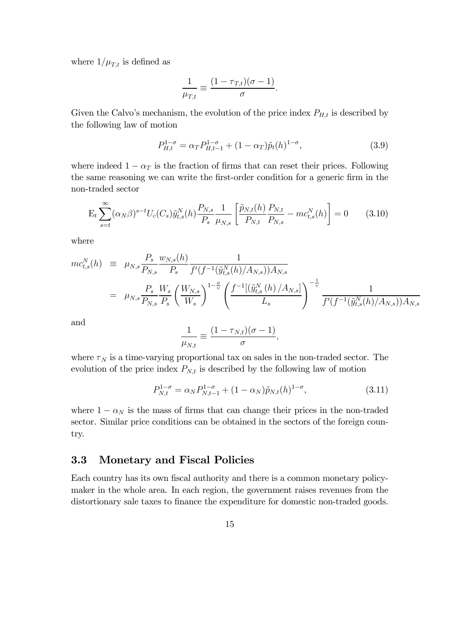where  $1/\mu_{T,t}$  is defined as

$$
\frac{1}{\mu_{T,t}} \equiv \frac{(1 - \tau_{T,t})(\sigma - 1)}{\sigma}.
$$

Given the Calvo's mechanism, the evolution of the price index  $P_{H,t}$  is described by the following law of motion

$$
P_{H,t}^{1-\sigma} = \alpha_T P_{H,t-1}^{1-\sigma} + (1 - \alpha_T) \tilde{p}_t(h)^{1-\sigma}, \qquad (3.9)
$$

where indeed  $1 - \alpha_T$  is the fraction of firms that can reset their prices. Following the same reasoning we can write the first-order condition for a generic firm in the non-traded sector

$$
E_t \sum_{s=t}^{\infty} (\alpha_N \beta)^{s-t} U_c(C_s) \tilde{y}_{t,s}^N(h) \frac{P_{N,s}}{P_s} \frac{1}{\mu_{N,s}} \left[ \frac{\tilde{p}_{N,t}(h)}{P_{N,t}} \frac{P_{N,t}}{P_{N,s}} - mc_{t,s}^N(h) \right] = 0 \quad (3.10)
$$

where

$$
mc_{t,s}^{N}(h) = \mu_{N,s} \frac{P_s}{P_{N,s}} \frac{w_{N,s}(h)}{P_s} \frac{1}{f'(f^{-1}(\tilde{y}_{t,s}^{N}(h)/A_{N,s}))A_{N,s}} = \mu_{N,s} \frac{P_s}{P_{N,s}} \frac{W_s}{P_s} \left(\frac{W_{N,s}}{W_s}\right)^{1-\frac{\phi}{\upsilon}} \left(\frac{f^{-1}[(\tilde{y}_{t,s}^{N}(h)/A_{N,s}])}{L_s}\right)^{-\frac{1}{\upsilon}} \frac{1}{f'(f^{-1}(\tilde{y}_{t,s}^{N}(h)/A_{N,s}))A_{N,s}}
$$

and

$$
\frac{1}{\mu_{N,t}} \equiv \frac{(1 - \tau_{N,t})(\sigma - 1)}{\sigma},
$$

where  $\tau_N$  is a time-varying proportional tax on sales in the non-traded sector. The evolution of the price index  $P_{N,t}$  is described by the following law of motion

$$
P_{N,t}^{1-\sigma} = \alpha_N P_{N,t-1}^{1-\sigma} + (1-\alpha_N)\tilde{p}_{N,t}(h)^{1-\sigma},
$$
\n(3.11)

where  $1 - \alpha_N$  is the mass of firms that can change their prices in the non-traded sector. Similar price conditions can be obtained in the sectors of the foreign country.

## 3.3 Monetary and Fiscal Policies

Each country has its own fiscal authority and there is a common monetary policymaker in the whole area. In each region, the government raises revenues from the distortionary sale taxes to finance the expenditure for domestic non-traded goods.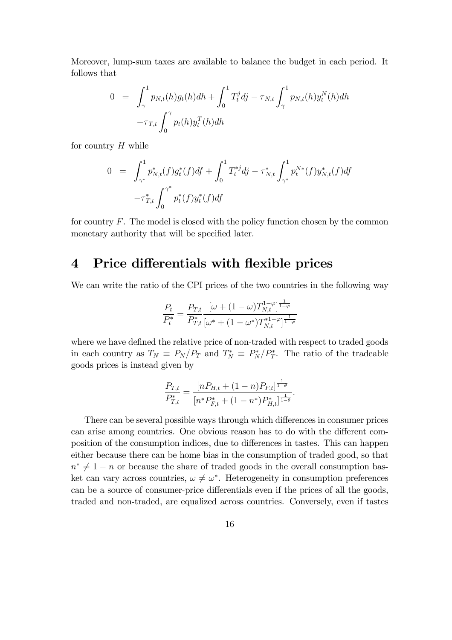Moreover, lump-sum taxes are available to balance the budget in each period. It follows that

$$
0 = \int_{\gamma}^{1} p_{N,t}(h)g_t(h)dh + \int_{0}^{1} T_t^j dj - \tau_{N,t} \int_{\gamma}^{1} p_{N,t}(h)y_t^N(h)dh - \tau_{T,t} \int_{0}^{\gamma} p_t(h)y_t^T(h)dh
$$

for country  $H$  while

$$
0 = \int_{\gamma^*}^1 p^*_{N,t}(f) g^*_t(f) df + \int_0^1 T^{*j}_t dj - \tau^*_{N,t} \int_{\gamma^*}^1 p_t^{N*}(f) y^*_{N,t}(f) df
$$
  

$$
-\tau^*_{T,t} \int_0^{\gamma^*} p^*_t(f) y^*_t(f) df
$$

for country  $F$ . The model is closed with the policy function chosen by the common monetary authority that will be specified later.

# 4 Price differentials with flexible prices

We can write the ratio of the CPI prices of the two countries in the following way

$$
\frac{P_t}{P_t^*} = \frac{P_{T,t}}{P_{T,t}^*} \frac{[\omega + (1 - \omega) T_{N,t}^{1 - \varphi}]^{\frac{1}{1 - \varphi}}}{[\omega^* + (1 - \omega^*) T_{N,t}^{*1 - \varphi}]^{\frac{1}{1 - \varphi}}}
$$

where we have defined the relative price of non-traded with respect to traded goods in each country as  $T_N \equiv P_N/P_T$  and  $T_N^* \equiv P_N^*/P_T^*$ . The ratio of the tradeable goods prices is instead given by

$$
\frac{P_{T,t}}{P_{T,t}^*} = \frac{[nP_{H,t} + (1-n)P_{F,t}]^{\frac{1}{1-\theta}}}{[n^*P_{F,t}^* + (1-n^*)P_{H,t}^*]^{\frac{1}{1-\theta}}}.
$$

There can be several possible ways through which differences in consumer prices can arise among countries. One obvious reason has to do with the different composition of the consumption indices, due to differences in tastes. This can happen either because there can be home bias in the consumption of traded good, so that  $n^* \neq 1 - n$  or because the share of traded goods in the overall consumption basket can vary across countries,  $\omega \neq \omega^*$ . Heterogeneity in consumption preferences can be a source of consumer-price differentials even if the prices of all the goods, traded and non-traded, are equalized across countries. Conversely, even if tastes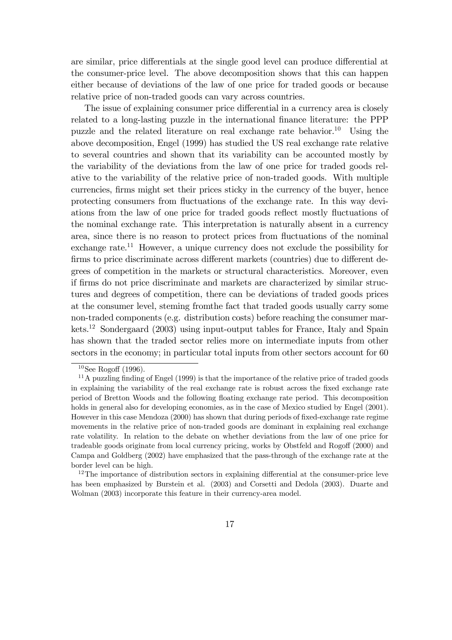are similar, price differentials at the single good level can produce differential at the consumer-price level. The above decomposition shows that this can happen either because of deviations of the law of one price for traded goods or because relative price of non-traded goods can vary across countries.

The issue of explaining consumer price differential in a currency area is closely related to a long-lasting puzzle in the international finance literature: the PPP puzzle and the related literature on real exchange rate behavior.<sup>10</sup> Using the above decomposition, Engel (1999) has studied the US real exchange rate relative to several countries and shown that its variability can be accounted mostly by the variability of the deviations from the law of one price for traded goods relative to the variability of the relative price of non-traded goods. With multiple currencies, firms might set their prices sticky in the currency of the buyer, hence protecting consumers from fluctuations of the exchange rate. In this way deviations from the law of one price for traded goods reflect mostly fluctuations of the nominal exchange rate. This interpretation is naturally absent in a currency area, since there is no reason to protect prices from fluctuations of the nominal exchange rate.<sup>11</sup> However, a unique currency does not exclude the possibility for firms to price discriminate across different markets (countries) due to different degrees of competition in the markets or structural characteristics. Moreover, even if firms do not price discriminate and markets are characterized by similar structures and degrees of competition, there can be deviations of traded goods prices at the consumer level, steming fromthe fact that traded goods usually carry some non-traded components (e.g. distribution costs) before reaching the consumer markets.12 Sondergaard (2003) using input-output tables for France, Italy and Spain has shown that the traded sector relies more on intermediate inputs from other sectors in the economy; in particular total inputs from other sectors account for 60

 $10$ See Rogoff (1996).

 $11$ A puzzling finding of Engel (1999) is that the importance of the relative price of traded goods in explaining the variability of the real exchange rate is robust across the fixed exchange rate period of Bretton Woods and the following floating exchange rate period. This decomposition holds in general also for developing economies, as in the case of Mexico studied by Engel (2001). However in this case Mendoza (2000) has shown that during periods of fixed-exchange rate regime movements in the relative price of non-traded goods are dominant in explaining real exchange rate volatility. In relation to the debate on whether deviations from the law of one price for tradeable goods originate from local currency pricing, works by Obstfeld and Rogoff (2000) and Campa and Goldberg (2002) have emphasized that the pass-through of the exchange rate at the border level can be high.

 $12$ The importance of distribution sectors in explaining differential at the consumer-price leve has been emphasized by Burstein et al. (2003) and Corsetti and Dedola (2003). Duarte and Wolman (2003) incorporate this feature in their currency-area model.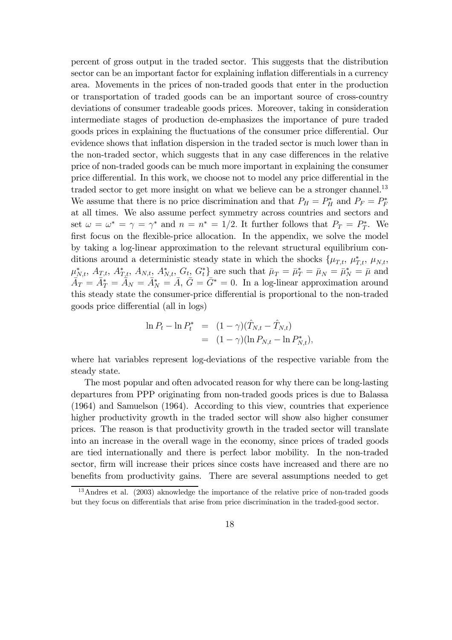percent of gross output in the traded sector. This suggests that the distribution sector can be an important factor for explaining inflation differentials in a currency area. Movements in the prices of non-traded goods that enter in the production or transportation of traded goods can be an important source of cross-country deviations of consumer tradeable goods prices. Moreover, taking in consideration intermediate stages of production de-emphasizes the importance of pure traded goods prices in explaining the fluctuations of the consumer price differential. Our evidence shows that inflation dispersion in the traded sector is much lower than in the non-traded sector, which suggests that in any case differences in the relative price of non-traded goods can be much more important in explaining the consumer price differential. In this work, we choose not to model any price differential in the traded sector to get more insight on what we believe can be a stronger channel.<sup>13</sup> We assume that there is no price discrimination and that  $P_H = P_H^*$  and  $P_F = P_F^*$ at all times. We also assume perfect symmetry across countries and sectors and set  $\omega = \omega^* = \gamma = \gamma^*$  and  $n = n^* = 1/2$ . It further follows that  $P_T = P_T^*$ . We first focus on the flexible-price allocation. In the appendix, we solve the model by taking a log-linear approximation to the relevant structural equilibrium conditions around a deterministic steady state in which the shocks  $\{\mu_{T,t}, \mu_{T,t}, \mu_{N,t},\}$  $\mu^*_{\bar{X},t}, A_{T,t}, A^*_{T,t}, A^*_{N,t}, A^*_{N,t}, G_t, G_t^*$  are such that  $\bar{\mu}_T = \bar{\mu}_T^* = \bar{\mu}_N = \bar{\mu}_N^* = \bar{\mu}$  and  $\bar{A}_T = \bar{A}_T^* = \bar{A}_N = \bar{A}_N^* = \bar{A}, \bar{G} = \bar{G}^* = 0.$  In a log-linear approximation around this steady state the consumer-price differential is proportional to the non-traded goods price differential (all in logs)

$$
\ln P_t - \ln P_t^* = (1 - \gamma)(\hat{T}_{N,t} - \hat{T}_{N,t})
$$
  
=  $(1 - \gamma)(\ln P_{N,t} - \ln P_{N,t}^*),$ 

where hat variables represent log-deviations of the respective variable from the steady state.

The most popular and often advocated reason for why there can be long-lasting departures from PPP originating from non-traded goods prices is due to Balassa (1964) and Samuelson (1964). According to this view, countries that experience higher productivity growth in the traded sector will show also higher consumer prices. The reason is that productivity growth in the traded sector will translate into an increase in the overall wage in the economy, since prices of traded goods are tied internationally and there is perfect labor mobility. In the non-traded sector, firm will increase their prices since costs have increased and there are no benefits from productivity gains. There are several assumptions needed to get

<sup>13</sup>Andres et al. (2003) aknowledge the importance of the relative price of non-traded goods but they focus on differentials that arise from price discrimination in the traded-good sector.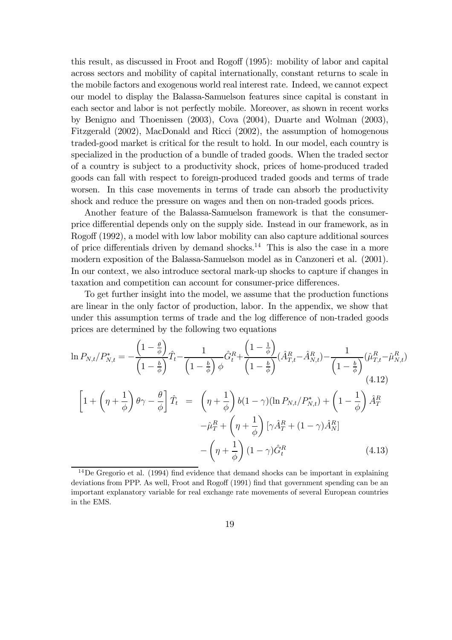this result, as discussed in Froot and Rogoff (1995): mobility of labor and capital across sectors and mobility of capital internationally, constant returns to scale in the mobile factors and exogenous world real interest rate. Indeed, we cannot expect our model to display the Balassa-Samuelson features since capital is constant in each sector and labor is not perfectly mobile. Moreover, as shown in recent works by Benigno and Thoenissen (2003), Cova (2004), Duarte and Wolman (2003), Fitzgerald (2002), MacDonald and Ricci (2002), the assumption of homogenous traded-good market is critical for the result to hold. In our model, each country is specialized in the production of a bundle of traded goods. When the traded sector of a country is subject to a productivity shock, prices of home-produced traded goods can fall with respect to foreign-produced traded goods and terms of trade worsen. In this case movements in terms of trade can absorb the productivity shock and reduce the pressure on wages and then on non-traded goods prices.

Another feature of the Balassa-Samuelson framework is that the consumerprice differential depends only on the supply side. Instead in our framework, as in Rogoff (1992), a model with low labor mobility can also capture additional sources of price differentials driven by demand shocks.<sup>14</sup> This is also the case in a more modern exposition of the Balassa-Samuelson model as in Canzoneri et al. (2001). In our context, we also introduce sectoral mark-up shocks to capture if changes in taxation and competition can account for consumer-price differences.

To get further insight into the model, we assume that the production functions are linear in the only factor of production, labor. In the appendix, we show that under this assumption terms of trade and the log difference of non-traded goods prices are determined by the following two equations

$$
\ln P_{N,t}/P_{N,t}^* = -\frac{\left(1 - \frac{\theta}{\phi}\right)}{\left(1 - \frac{b}{\phi}\right)} \hat{T}_t - \frac{1}{\left(1 - \frac{b}{\phi}\right)} \hat{G}_t^R + \frac{\left(1 - \frac{1}{\phi}\right)}{\left(1 - \frac{b}{\phi}\right)} (\hat{A}_{T,t}^R - \hat{A}_{N,t}^R) - \frac{1}{\left(1 - \frac{b}{\phi}\right)} (\hat{\mu}_{T,t}^R - \hat{\mu}_{N,t}^R)
$$
\n
$$
\left[1 + \left(\eta + \frac{1}{\phi}\right)\theta\gamma - \frac{\theta}{\phi}\right] \hat{T}_t = \left(\eta + \frac{1}{\phi}\right)b(1 - \gamma)(\ln P_{N,t}/P_{N,t}^*) + \left(1 - \frac{1}{\phi}\right)\hat{A}_T^R
$$
\n
$$
-\hat{\mu}_T^R + \left(\eta + \frac{1}{\phi}\right)[\gamma \hat{A}_T^R + (1 - \gamma)\hat{A}_N^R]
$$
\n
$$
-\left(\eta + \frac{1}{\phi}\right)(1 - \gamma)\hat{G}_t^R \tag{4.13}
$$

 $14$ De Gregorio et al. (1994) find evidence that demand shocks can be important in explaining deviations from PPP. As well, Froot and Rogoff (1991) find that government spending can be an important explanatory variable for real exchange rate movements of several European countries in the EMS.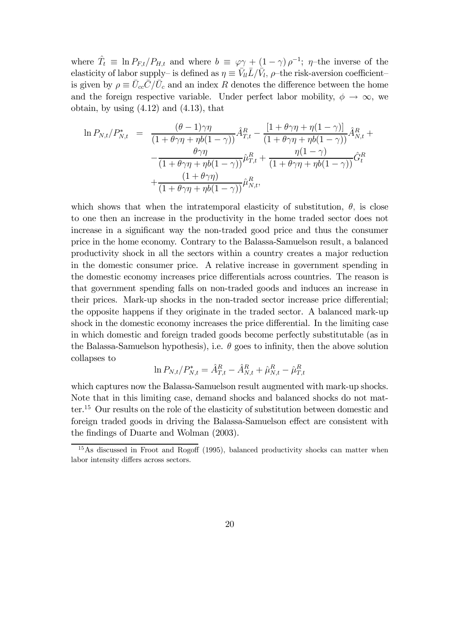where  $\hat{T}_t \equiv \ln P_{F,t}/P_{H,t}$  and where  $b \equiv \varphi \gamma + (1 - \gamma) \rho^{-1}$ ;  $\eta$ -the inverse of the elasticity of labor supply– is defined as  $\eta \equiv \bar{V}_{ll} \bar{L}/\bar{V}_{l}$ ,  $\rho$ –the risk-aversion coefficient– is given by  $\rho \equiv \bar{U}_{cc}\bar{C}/\bar{U}_c$  and an index R denotes the difference between the home and the foreign respective variable. Under perfect labor mobility,  $\phi \to \infty$ , we obtain, by using  $(4.12)$  and  $(4.13)$ , that

$$
\ln P_{N,t}/P_{N,t}^* = \frac{(\theta - 1)\gamma\eta}{(1 + \theta\gamma\eta + \eta b(1 - \gamma))}\hat{A}_{T,t}^R - \frac{[1 + \theta\gamma\eta + \eta(1 - \gamma)]}{(1 + \theta\gamma\eta + \eta b(1 - \gamma))}\hat{A}_{N,t}^R + \frac{\theta\gamma\eta}{(1 + \theta\gamma\eta + \eta b(1 - \gamma))}\hat{\mu}_{T,t}^R + \frac{\eta(1 - \gamma)}{(1 + \theta\gamma\eta + \eta b(1 - \gamma))}\hat{G}_t^R + \frac{(1 + \theta\gamma\eta)}{(1 + \theta\gamma\eta + \eta b(1 - \gamma))}\hat{\mu}_{N,t}^R,
$$

which shows that when the intratemporal elasticity of substitution,  $\theta$ , is close to one then an increase in the productivity in the home traded sector does not increase in a significant way the non-traded good price and thus the consumer price in the home economy. Contrary to the Balassa-Samuelson result, a balanced productivity shock in all the sectors within a country creates a major reduction in the domestic consumer price. A relative increase in government spending in the domestic economy increases price differentials across countries. The reason is that government spending falls on non-traded goods and induces an increase in their prices. Mark-up shocks in the non-traded sector increase price differential; the opposite happens if they originate in the traded sector. A balanced mark-up shock in the domestic economy increases the price differential. In the limiting case in which domestic and foreign traded goods become perfectly substitutable (as in the Balassa-Samuelson hypothesis), i.e.  $\theta$  goes to infinity, then the above solution collapses to

$$
\ln P_{N,t}/P^*_{N,t} = \hat{A}^R_{T,t} - \hat{A}^R_{N,t} + \hat{\mu}^R_{N,t} - \hat{\mu}^R_{T,t}
$$

which captures now the Balassa-Samuelson result augmented with mark-up shocks. Note that in this limiting case, demand shocks and balanced shocks do not matter.15 Our results on the role of the elasticity of substitution between domestic and foreign traded goods in driving the Balassa-Samuelson effect are consistent with the findings of Duarte and Wolman (2003).

<sup>15</sup>As discussed in Froot and Rogoff (1995), balanced productivity shocks can matter when labor intensity differs across sectors.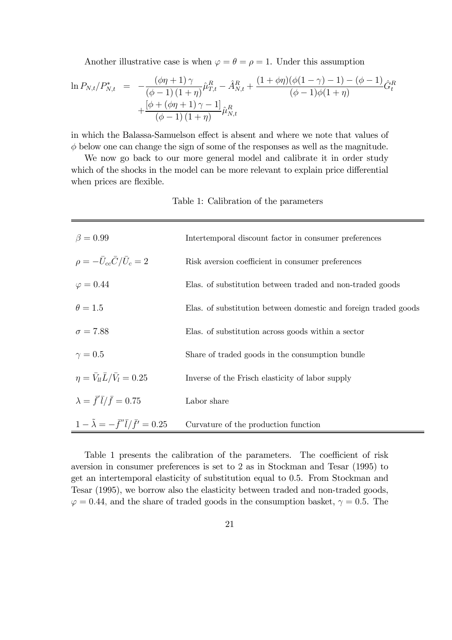Another illustrative case is when  $\varphi = \theta = \rho = 1$ . Under this assumption

$$
\ln P_{N,t}/P_{N,t}^* = -\frac{(\phi \eta + 1)\gamma}{(\phi - 1)(1 + \eta)} \hat{\mu}_{T,t}^R - \hat{A}_{N,t}^R + \frac{(1 + \phi \eta)(\phi(1 - \gamma) - 1) - (\phi - 1)}{(\phi - 1)\phi(1 + \eta)} \hat{G}_t^R + \frac{[\phi + (\phi \eta + 1)\gamma - 1]}{(\phi - 1)(1 + \eta)} \hat{\mu}_{N,t}^R
$$

in which the Balassa-Samuelson effect is absent and where we note that values of  $\phi$  below one can change the sign of some of the responses as well as the magnitude.

We now go back to our more general model and calibrate it in order study which of the shocks in the model can be more relevant to explain price differential when prices are flexible.

Table 1: Calibration of the parameters

| $\beta = 0.99$                                             | Intertemporal discount factor in consumer preferences           |  |  |
|------------------------------------------------------------|-----------------------------------------------------------------|--|--|
| $\rho = -\bar{U}_{cc}\bar{C}/\bar{U}_c = 2$                | Risk aversion coefficient in consumer preferences               |  |  |
| $\varphi = 0.44$                                           | Elas. of substitution between traded and non-traded goods       |  |  |
| $\theta=1.5$                                               | Elas. of substitution between domestic and foreign traded goods |  |  |
| $\sigma = 7.88$                                            | Elas. of substitution across goods within a sector              |  |  |
| $\gamma=0.5$                                               | Share of traded goods in the consumption bundle                 |  |  |
| $\eta = \bar{V}_{ll} \bar{L}/\bar{V}_{l} = 0.25$           | Inverse of the Frisch elasticity of labor supply                |  |  |
| $\lambda = \bar{f}' \bar{l}/\bar{f} = 0.75$                | Labor share                                                     |  |  |
| $1 - \tilde{\lambda} = -\bar{f}'' \bar{l}/\bar{f}' = 0.25$ | Curvature of the production function                            |  |  |

Table 1 presents the calibration of the parameters. The coefficient of risk aversion in consumer preferences is set to 2 as in Stockman and Tesar (1995) to get an intertemporal elasticity of substitution equal to 0.5. From Stockman and Tesar (1995), we borrow also the elasticity between traded and non-traded goods,  $\varphi = 0.44$ , and the share of traded goods in the consumption basket,  $\gamma = 0.5$ . The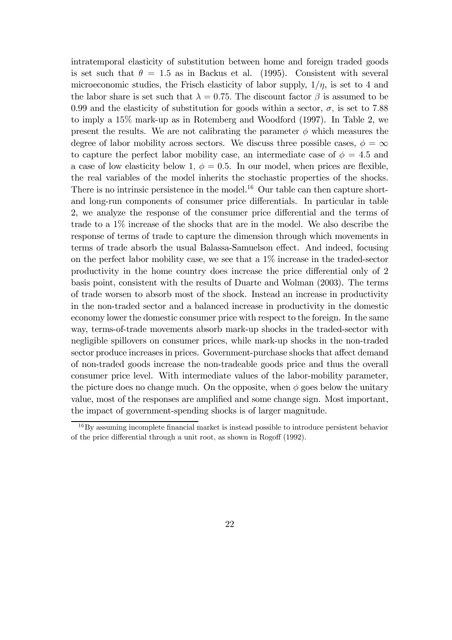intratemporal elasticity of substitution between home and foreign traded goods is set such that  $\theta = 1.5$  as in Backus et al. (1995). Consistent with several microeconomic studies, the Frisch elasticity of labor supply,  $1/\eta$ , is set to 4 and the labor share is set such that  $\lambda = 0.75$ . The discount factor  $\beta$  is assumed to be 0.99 and the elasticity of substitution for goods within a sector,  $\sigma$ , is set to 7.88 to imply a 15% mark-up as in Rotemberg and Woodford (1997). In Table 2, we present the results. We are not calibrating the parameter  $\phi$  which measures the degree of labor mobility across sectors. We discuss three possible cases,  $\phi = \infty$ to capture the perfect labor mobility case, an intermediate case of  $\phi = 4.5$  and a case of low elasticity below 1,  $\phi = 0.5$ . In our model, when prices are flexible, the real variables of the model inherits the stochastic properties of the shocks. There is no intrinsic persistence in the model.<sup>16</sup> Our table can then capture shortand long-run components of consumer price differentials. In particular in table 2, we analyze the response of the consumer price differential and the terms of trade to a 1% increase of the shocks that are in the model. We also describe the response of terms of trade to capture the dimension through which movements in terms of trade absorb the usual Balassa-Samuelson effect. And indeed, focusing on the perfect labor mobility case, we see that a 1% increase in the traded-sector productivity in the home country does increase the price differential only of 2 basis point, consistent with the results of Duarte and Wolman (2003). The terms of trade worsen to absorb most of the shock. Instead an increase in productivity in the non-traded sector and a balanced increase in productivity in the domestic economy lower the domestic consumer price with respect to the foreign. In the same way, terms-of-trade movements absorb mark-up shocks in the traded-sector with negligible spillovers on consumer prices, while mark-up shocks in the non-traded sector produce increases in prices. Government-purchase shocks that affect demand of non-traded goods increase the non-tradeable goods price and thus the overall consumer price level. With intermediate values of the labor-mobility parameter, the picture does no change much. On the opposite, when  $\phi$  goes below the unitary value, most of the responses are amplified and some change sign. Most important, the impact of government-spending shocks is of larger magnitude.

<sup>&</sup>lt;sup>16</sup>By assuming incomplete financial market is instead possible to introduce persistent behavior of the price differential through a unit root, as shown in Rogoff (1992).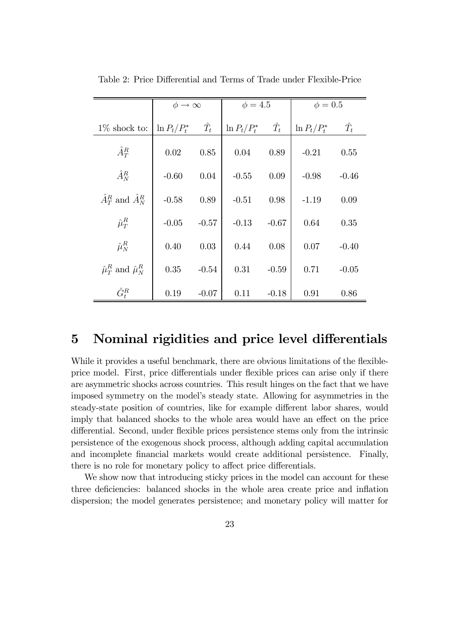|                                             | $\phi \rightarrow \infty$ |             | $\phi = 4.5$    |             | $\phi = 0.5$    |             |
|---------------------------------------------|---------------------------|-------------|-----------------|-------------|-----------------|-------------|
| $1\%$ shock to:                             | $\ln P_t/P_t^*$           | $\hat{T_t}$ | $\ln P_t/P_t^*$ | $\hat{T_t}$ | $\ln P_t/P_t^*$ | $\hat{T}_t$ |
| $\hat{A}^R_T$                               | 0.02                      | 0.85        | 0.04            | 0.89        | $-0.21$         | 0.55        |
| $\hat{A}_N^R$                               | $-0.60$                   | 0.04        | $-0.55$         | 0.09        | $-0.98$         | $-0.46$     |
| $\hat{A}^R_T$ and $\hat{A}^R_N$             | $-0.58$                   | 0.89        | $-0.51$         | 0.98        | $-1.19$         | 0.09        |
| $\hat{\mu}_T^R$                             | $-0.05$                   | $-0.57$     | $-0.13$         | $-0.67$     | 0.64            | 0.35        |
| $\hat{\mu}_N^R$                             | 0.40                      | 0.03        | 0.44            | 0.08        | 0.07            | $-0.40$     |
| $\hat{\mu}_{T}^{R}$ and $\hat{\mu}_{N}^{R}$ | 0.35                      | $-0.54$     | 0.31            | $-0.59$     | 0.71            | $-0.05$     |
| $\hat{G}_{t}^{R}$                           | 0.19                      | $-0.07$     | 0.11            | $-0.18$     | 0.91            | 0.86        |

Table 2: Price Differential and Terms of Trade under Flexible-Price

## 5 Nominal rigidities and price level differentials

While it provides a useful benchmark, there are obvious limitations of the flexibleprice model. First, price differentials under flexible prices can arise only if there are asymmetric shocks across countries. This result hinges on the fact that we have imposed symmetry on the model's steady state. Allowing for asymmetries in the steady-state position of countries, like for example different labor shares, would imply that balanced shocks to the whole area would have an effect on the price differential. Second, under flexible prices persistence stems only from the intrinsic persistence of the exogenous shock process, although adding capital accumulation and incomplete financial markets would create additional persistence. Finally, there is no role for monetary policy to affect price differentials.

We show now that introducing sticky prices in the model can account for these three deficiencies: balanced shocks in the whole area create price and inflation dispersion; the model generates persistence; and monetary policy will matter for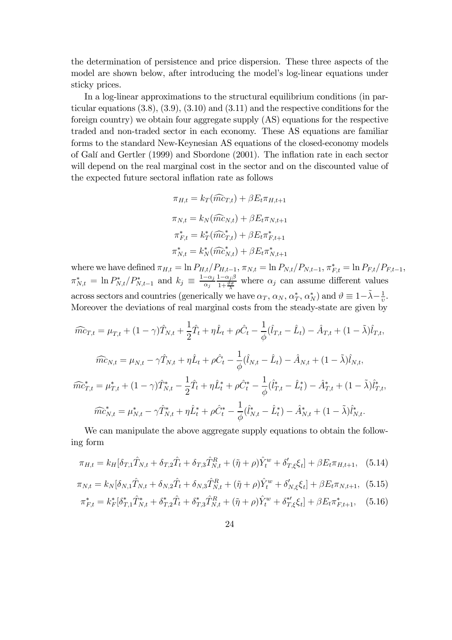the determination of persistence and price dispersion. These three aspects of the model are shown below, after introducing the model's log-linear equations under sticky prices.

In a log-linear approximations to the structural equilibrium conditions (in particular equations  $(3.8), (3.9), (3.10)$  and  $(3.11)$  and the respective conditions for the foreign country) we obtain four aggregate supply (AS) equations for the respective traded and non-traded sector in each economy. These AS equations are familiar forms to the standard New-Keynesian AS equations of the closed-economy models of GalÌ and Gertler (1999) and Sbordone (2001). The inflation rate in each sector will depend on the real marginal cost in the sector and on the discounted value of the expected future sectoral inflation rate as follows

$$
\pi_{H,t} = k_T(\widehat{mc}_{T,t}) + \beta E_t \pi_{H,t+1}
$$

$$
\pi_{N,t} = k_N(\widehat{mc}_{N,t}) + \beta E_t \pi_{N,t+1}
$$

$$
\pi_{F,t}^* = k_T^*(\widehat{mc}_{T,t}^*) + \beta E_t \pi_{F,t+1}^*
$$

$$
\pi_{N,t}^* = k_N^*(\widehat{mc}_{N,t}^*) + \beta E_t \pi_{N,t+1}^*
$$

where we have defined  $\pi_{H,t} = \ln P_{H,t}/P_{H,t-1}, \pi_{N,t} = \ln P_{N,t}/P_{N,t-1}, \pi_{F,t}^* = \ln P_{F,t}/P_{F,t-1},$  $\pi_{N,t}^* = \ln P_{N,t}^*/P_{N,t-1}^*$  and  $k_j \equiv \frac{1-\alpha_j}{\alpha_j}$  $\alpha_j$  $1-\alpha_j\beta$  $\frac{1-\alpha_j \beta}{1+\frac{\vartheta_{\sigma}}{2}}$  where  $\alpha_j$  can assume different values across sectors and countries (generically we have  $\alpha_T, \alpha_N, \alpha_T^*, \alpha_N^*$ ) and  $\vartheta \equiv 1 - \tilde{\lambda} - \frac{1}{v}$ . Moreover the deviations of real marginal costs from the steady-state are given by

$$
\widehat{mc}_{T,t} = \mu_{T,t} + (1 - \gamma)\widehat{T}_{N,t} + \frac{1}{2}\widehat{T}_t + \eta \widehat{L}_t + \rho \widehat{C}_t - \frac{1}{\phi}(\widehat{l}_{T,t} - \widehat{L}_t) - \widehat{A}_{T,t} + (1 - \widetilde{\lambda})\widehat{l}_{T,t},
$$
\n
$$
\widehat{mc}_{N,t} = \mu_{N,t} - \gamma \widehat{T}_{N,t} + \eta \widehat{L}_t + \rho \widehat{C}_t - \frac{1}{\phi}(\widehat{l}_{N,t} - \widehat{L}_t) - \widehat{A}_{N,t} + (1 - \widetilde{\lambda})\widehat{l}_{N,t},
$$
\n
$$
\widehat{mc}_{T,t}^* = \mu_{T,t}^* + (1 - \gamma)\widehat{T}_{N,t}^* - \frac{1}{2}\widehat{T}_t + \eta \widehat{L}_t^* + \rho \widehat{C}_t^* - \frac{1}{\phi}(\widehat{l}_{T,t}^* - \widehat{L}_t^*) - \widehat{A}_{T,t}^* + (1 - \widetilde{\lambda})\widehat{l}_{T,t}^*,
$$
\n
$$
\widehat{mc}_{N,t}^* = \mu_{N,t}^* - \gamma \widehat{T}_{N,t}^* + \eta \widehat{L}_t^* + \rho \widehat{C}_t^* - \frac{1}{\phi}(\widehat{l}_{N,t}^* - \widehat{L}_t^*) - \widehat{A}_{N,t}^* + (1 - \widetilde{\lambda})\widehat{l}_{N,t}^*.
$$

We can manipulate the above aggregate supply equations to obtain the following form

$$
\pi_{H,t} = k_H[\delta_{T,1}\hat{T}_{N,t} + \delta_{T,2}\hat{T}_t + \delta_{T,3}\hat{T}_{N,t}^R + (\tilde{\eta} + \rho)\hat{Y}_t^w + \delta_{T,\xi}'\xi_t] + \beta E_t \pi_{H,t+1}, \quad (5.14)
$$

$$
\pi_{N,t} = k_N[\delta_{N,1}\hat{T}_{N,t} + \delta_{N,2}\hat{T}_t + \delta_{N,3}\hat{T}_{N,t}^R + (\tilde{\eta} + \rho)\hat{Y}_t^w + \delta_{N,\xi}'\xi_t] + \beta E_t \pi_{N,t+1},
$$
(5.15)

$$
\pi_{F,t}^* = k_F^* \left[ \delta_{T,1}^* \hat{T}_{N,t}^* + \delta_{T,2}^* \hat{T}_t + \delta_{T,3}^* \hat{T}_{N,t}^R + (\tilde{\eta} + \rho) \hat{Y}_t^w + \delta_{T,\xi}^* \xi_t \right] + \beta E_t \pi_{F,t+1}^*, \quad (5.16)
$$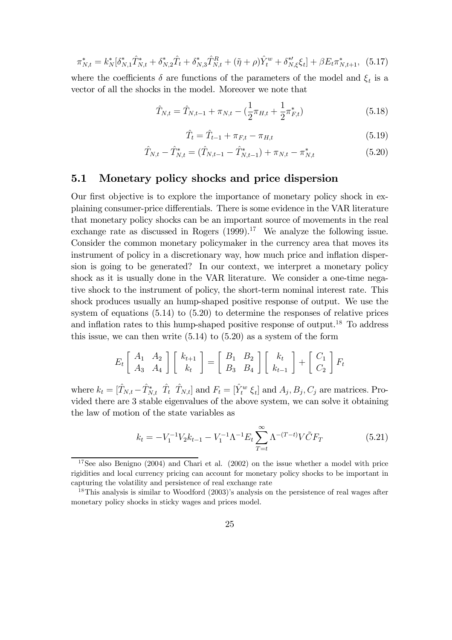$$
\pi_{N,t}^* = k_N^* [\delta_{N,1}^* \hat{T}_{N,t}^* + \delta_{N,2}^* \hat{T}_t + \delta_{N,3}^* \hat{T}_{N,t}^R + (\tilde{\eta} + \rho) \hat{Y}_t^w + \delta_{N,\xi}^* \xi_t] + \beta E_t \pi_{N,t+1}^*,
$$
 (5.17)

where the coefficients  $\delta$  are functions of the parameters of the model and  $\xi_t$  is a vector of all the shocks in the model. Moreover we note that

$$
\hat{T}_{N,t} = \hat{T}_{N,t-1} + \pi_{N,t} - (\frac{1}{2}\pi_{H,t} + \frac{1}{2}\pi_{F,t}^*)
$$
\n(5.18)

$$
\hat{T}_t = \hat{T}_{t-1} + \pi_{F,t} - \pi_{H,t} \tag{5.19}
$$

$$
\hat{T}_{N,t} - \hat{T}_{N,t}^* = (\hat{T}_{N,t-1} - \hat{T}_{N,t-1}^*) + \pi_{N,t} - \pi_{N,t}^* \tag{5.20}
$$

### 5.1 Monetary policy shocks and price dispersion

Our first objective is to explore the importance of monetary policy shock in explaining consumer-price differentials. There is some evidence in the VAR literature that monetary policy shocks can be an important source of movements in the real exchange rate as discussed in Rogers  $(1999)^{17}$  We analyze the following issue. Consider the common monetary policymaker in the currency area that moves its instrument of policy in a discretionary way, how much price and inflation dispersion is going to be generated? In our context, we interpret a monetary policy shock as it is usually done in the VAR literature. We consider a one-time negative shock to the instrument of policy, the short-term nominal interest rate. This shock produces usually an hump-shaped positive response of output. We use the system of equations (5.14) to (5.20) to determine the responses of relative prices and inflation rates to this hump-shaped positive response of output.<sup>18</sup> To address this issue, we can then write  $(5.14)$  to  $(5.20)$  as a system of the form

$$
E_t\left[\begin{array}{cc} A_1 & A_2 \\ A_3 & A_4 \end{array}\right] \left[\begin{array}{c} k_{t+1} \\ k_t \end{array}\right] = \left[\begin{array}{cc} B_1 & B_2 \\ B_3 & B_4 \end{array}\right] \left[\begin{array}{c} k_t \\ k_{t-1} \end{array}\right] + \left[\begin{array}{c} C_1 \\ C_2 \end{array}\right] F_t
$$

where  $k_t = [\hat{T}_{N,t} - \hat{T}_{N,t}^* \hat{T}_t \hat{T}_{N,t}]$  and  $F_t = [\hat{Y}_t^w \hat{\xi}_t]$  and  $A_j, B_j, C_j$  are matrices. Provided there are 3 stable eigenvalues of the above system, we can solve it obtaining the law of motion of the state variables as

$$
k_t = -V_1^{-1}V_2k_{t-1} - V_1^{-1}\Lambda^{-1}E_t\sum_{T=t}^{\infty}\Lambda^{-(T-t)}V\tilde{C}F_T
$$
\n(5.21)

 $17$ See also Benigno (2004) and Chari et al. (2002) on the issue whether a model with price rigidities and local currency pricing can account for monetary policy shocks to be important in capturing the volatility and persistence of real exchange rate

<sup>&</sup>lt;sup>18</sup>This analysis is similar to Woodford  $(2003)$ 's analysis on the persistence of real wages after monetary policy shocks in sticky wages and prices model.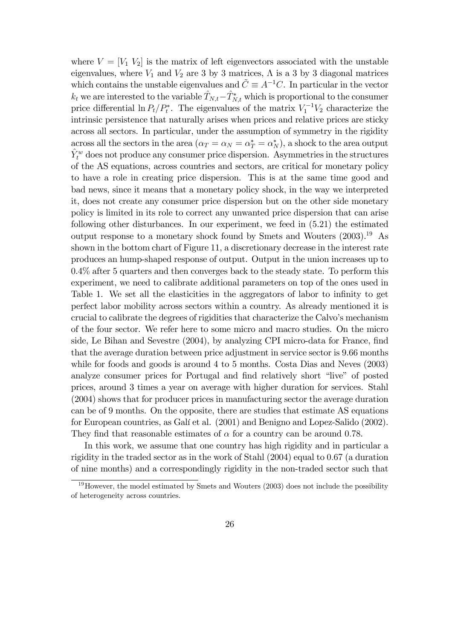where  $V = [V_1 V_2]$  is the matrix of left eigenvectors associated with the unstable eigenvalues, where  $V_1$  and  $V_2$  are 3 by 3 matrices,  $\Lambda$  is a 3 by 3 diagonal matrices which contains the unstable eigenvalues and  $\tilde{C} \equiv A^{-1}C$ . In particular in the vector  $k_t$  we are interested to the variable  $\hat{T}_{N,t} - \hat{T}_{N,t}^*$  which is proportional to the consumer price differential  $\ln P_t/P_t^*$ . The eigenvalues of the matrix  $V_1^{-1}V_2$  characterize the intrinsic persistence that naturally arises when prices and relative prices are sticky across all sectors. In particular, under the assumption of symmetry in the rigidity across all the sectors in the area  $(\alpha_T = \alpha_N = \alpha_T^* = \alpha_N^*)$ , a shock to the area output  $\hat{Y}^w_t$  does not produce any consumer price dispersion. Asymmetries in the structures of the AS equations, across countries and sectors, are critical for monetary policy to have a role in creating price dispersion. This is at the same time good and bad news, since it means that a monetary policy shock, in the way we interpreted it, does not create any consumer price dispersion but on the other side monetary policy is limited in its role to correct any unwanted price dispersion that can arise following other disturbances. In our experiment, we feed in (5.21) the estimated output response to a monetary shock found by Smets and Wouters  $(2003).^{19}$  As shown in the bottom chart of Figure 11, a discretionary decrease in the interest rate produces an hump-shaped response of output. Output in the union increases up to 0.4% after 5 quarters and then converges back to the steady state. To perform this experiment, we need to calibrate additional parameters on top of the ones used in Table 1. We set all the elasticities in the aggregators of labor to infinity to get perfect labor mobility across sectors within a country. As already mentioned it is crucial to calibrate the degrees of rigidities that characterize the Calvoís mechanism of the four sector. We refer here to some micro and macro studies. On the micro side, Le Bihan and Sevestre (2004), by analyzing CPI micro-data for France, find that the average duration between price adjustment in service sector is 9.66 months while for foods and goods is around 4 to 5 months. Costa Dias and Neves (2003) analyze consumer prices for Portugal and find relatively short "live" of posted prices, around 3 times a year on average with higher duration for services. Stahl (2004) shows that for producer prices in manufacturing sector the average duration can be of 9 months. On the opposite, there are studies that estimate AS equations for European countries, as Galí et al. (2001) and Benigno and Lopez-Salido (2002). They find that reasonable estimates of  $\alpha$  for a country can be around 0.78.

In this work, we assume that one country has high rigidity and in particular a rigidity in the traded sector as in the work of Stahl  $(2004)$  equal to 0.67 (a duration of nine months) and a correspondingly rigidity in the non-traded sector such that

 $19$ However, the model estimated by Smets and Wouters (2003) does not include the possibility of heterogeneity across countries.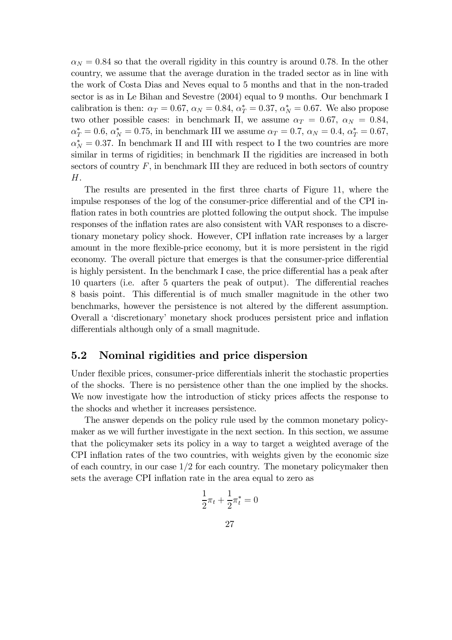$\alpha_N = 0.84$  so that the overall rigidity in this country is around 0.78. In the other country, we assume that the average duration in the traded sector as in line with the work of Costa Dias and Neves equal to 5 months and that in the non-traded sector is as in Le Bihan and Sevestre (2004) equal to 9 months. Our benchmark I calibration is then:  $\alpha_T = 0.67$ ,  $\alpha_N = 0.84$ ,  $\alpha_T^* = 0.37$ ,  $\alpha_N^* = 0.67$ . We also propose two other possible cases: in benchmark II, we assume  $\alpha_T = 0.67$ ,  $\alpha_N = 0.84$ ,  $\alpha_T^* = 0.6, \, \alpha_N^* = 0.75, \, \text{in benchmark III}$  we assume  $\alpha_T = 0.7, \, \alpha_N = 0.4, \, \alpha_T^* = 0.67,$  $\alpha_N^* = 0.37$ . In benchmark II and III with respect to I the two countries are more similar in terms of rigidities; in benchmark II the rigidities are increased in both sectors of country  $F$ , in benchmark III they are reduced in both sectors of country  $H.$ 

The results are presented in the first three charts of Figure 11, where the impulse responses of the log of the consumer-price differential and of the CPI inflation rates in both countries are plotted following the output shock. The impulse responses of the inflation rates are also consistent with VAR responses to a discretionary monetary policy shock. However, CPI inflation rate increases by a larger amount in the more flexible-price economy, but it is more persistent in the rigid economy. The overall picture that emerges is that the consumer-price differential is highly persistent. In the benchmark I case, the price differential has a peak after 10 quarters (i.e. after 5 quarters the peak of output). The differential reaches 8 basis point. This differential is of much smaller magnitude in the other two benchmarks, however the persistence is not altered by the different assumption. Overall a ëdiscretionaryí monetary shock produces persistent price and inflation differentials although only of a small magnitude.

## 5.2 Nominal rigidities and price dispersion

Under flexible prices, consumer-price differentials inherit the stochastic properties of the shocks. There is no persistence other than the one implied by the shocks. We now investigate how the introduction of sticky prices affects the response to the shocks and whether it increases persistence.

The answer depends on the policy rule used by the common monetary policymaker as we will further investigate in the next section. In this section, we assume that the policymaker sets its policy in a way to target a weighted average of the CPI inflation rates of the two countries, with weights given by the economic size of each country, in our case  $1/2$  for each country. The monetary policymaker then sets the average CPI inflation rate in the area equal to zero as

$$
\frac{1}{2}\pi_t + \frac{1}{2}\pi_t^* = 0
$$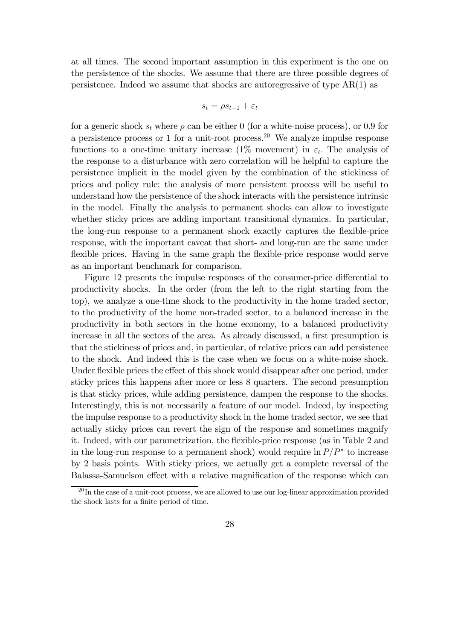at all times. The second important assumption in this experiment is the one on the persistence of the shocks. We assume that there are three possible degrees of persistence. Indeed we assume that shocks are autoregressive of type  $AR(1)$  as

$$
s_t = \rho s_{t-1} + \varepsilon_t
$$

for a generic shock  $s_t$  where  $\rho$  can be either 0 (for a white-noise process), or 0.9 for a persistence process or 1 for a unit-root process.20 We analyze impulse response functions to a one-time unitary increase (1% movement) in  $\varepsilon_t$ . The analysis of the response to a disturbance with zero correlation will be helpful to capture the persistence implicit in the model given by the combination of the stickiness of prices and policy rule; the analysis of more persistent process will be useful to understand how the persistence of the shock interacts with the persistence intrinsic in the model. Finally the analysis to permanent shocks can allow to investigate whether sticky prices are adding important transitional dynamics. In particular, the long-run response to a permanent shock exactly captures the flexible-price response, with the important caveat that short- and long-run are the same under flexible prices. Having in the same graph the flexible-price response would serve as an important benchmark for comparison.

Figure 12 presents the impulse responses of the consumer-price differential to productivity shocks. In the order (from the left to the right starting from the top), we analyze a one-time shock to the productivity in the home traded sector, to the productivity of the home non-traded sector, to a balanced increase in the productivity in both sectors in the home economy, to a balanced productivity increase in all the sectors of the area. As already discussed, a first presumption is that the stickiness of prices and, in particular, of relative prices can add persistence to the shock. And indeed this is the case when we focus on a white-noise shock. Under flexible prices the effect of this shock would disappear after one period, under sticky prices this happens after more or less 8 quarters. The second presumption is that sticky prices, while adding persistence, dampen the response to the shocks. Interestingly, this is not necessarily a feature of our model. Indeed, by inspecting the impulse response to a productivity shock in the home traded sector, we see that actually sticky prices can revert the sign of the response and sometimes magnify it. Indeed, with our parametrization, the flexible-price response (as in Table 2 and in the long-run response to a permanent shock) would require ln  $P/P^*$  to increase by 2 basis points. With sticky prices, we actually get a complete reversal of the Balassa-Samuelson effect with a relative magnification of the response which can

 $20$  In the case of a unit-root process, we are allowed to use our log-linear approximation provided the shock lasts for a finite period of time.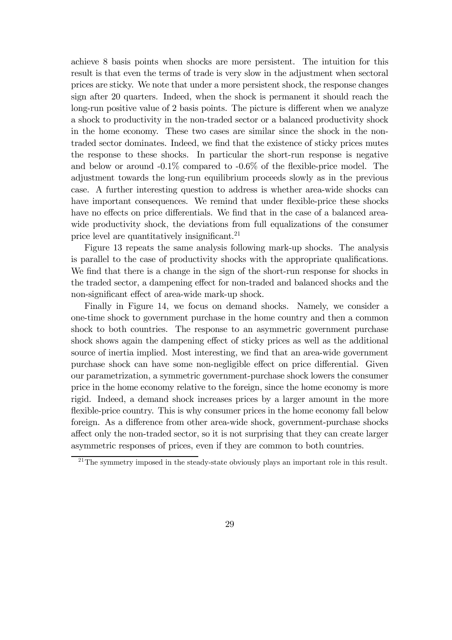achieve 8 basis points when shocks are more persistent. The intuition for this result is that even the terms of trade is very slow in the adjustment when sectoral prices are sticky. We note that under a more persistent shock, the response changes sign after 20 quarters. Indeed, when the shock is permanent it should reach the long-run positive value of 2 basis points. The picture is different when we analyze a shock to productivity in the non-traded sector or a balanced productivity shock in the home economy. These two cases are similar since the shock in the nontraded sector dominates. Indeed, we find that the existence of sticky prices mutes the response to these shocks. In particular the short-run response is negative and below or around -0.1% compared to -0.6% of the flexible-price model. The adjustment towards the long-run equilibrium proceeds slowly as in the previous case. A further interesting question to address is whether area-wide shocks can have important consequences. We remind that under flexible-price these shocks have no effects on price differentials. We find that in the case of a balanced areawide productivity shock, the deviations from full equalizations of the consumer price level are quantitatively insignificant.<sup>21</sup>

Figure 13 repeats the same analysis following mark-up shocks. The analysis is parallel to the case of productivity shocks with the appropriate qualifications. We find that there is a change in the sign of the short-run response for shocks in the traded sector, a dampening effect for non-traded and balanced shocks and the non-significant effect of area-wide mark-up shock.

Finally in Figure 14, we focus on demand shocks. Namely, we consider a one-time shock to government purchase in the home country and then a common shock to both countries. The response to an asymmetric government purchase shock shows again the dampening effect of sticky prices as well as the additional source of inertia implied. Most interesting, we find that an area-wide government purchase shock can have some non-negligible effect on price differential. Given our parametrization, a symmetric government-purchase shock lowers the consumer price in the home economy relative to the foreign, since the home economy is more rigid. Indeed, a demand shock increases prices by a larger amount in the more flexible-price country. This is why consumer prices in the home economy fall below foreign. As a difference from other area-wide shock, government-purchase shocks affect only the non-traded sector, so it is not surprising that they can create larger asymmetric responses of prices, even if they are common to both countries.

 $^{21}$ The symmetry imposed in the steady-state obviously plays an important role in this result.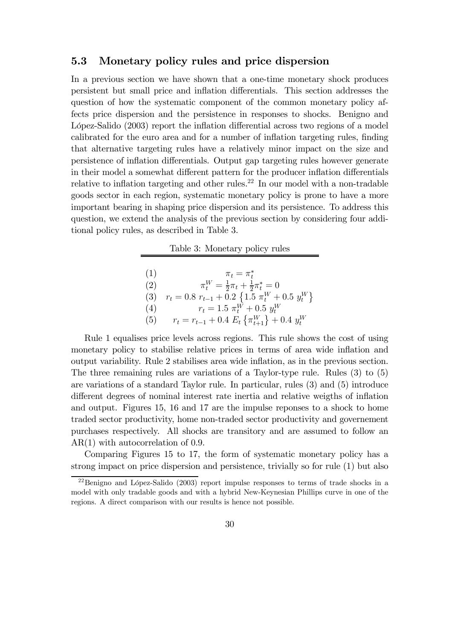### 5.3 Monetary policy rules and price dispersion

In a previous section we have shown that a one-time monetary shock produces persistent but small price and inflation differentials. This section addresses the question of how the systematic component of the common monetary policy affects price dispersion and the persistence in responses to shocks. Benigno and López-Salido (2003) report the inflation differential across two regions of a model calibrated for the euro area and for a number of inflation targeting rules, finding that alternative targeting rules have a relatively minor impact on the size and persistence of inflation differentials. Output gap targeting rules however generate in their model a somewhat different pattern for the producer inflation differentials relative to inflation targeting and other rules.<sup>22</sup> In our model with a non-tradable goods sector in each region, systematic monetary policy is prone to have a more important bearing in shaping price dispersion and its persistence. To address this question, we extend the analysis of the previous section by considering four additional policy rules, as described in Table 3.

Table 3: Monetary policy rules

(1)<br>  $\pi_t = \pi_t^*$ <br>
(2)<br>  $\pi_t^W = \frac{1}{2}\pi_t + \frac{1}{2}\pi_t^* = 0$ (3)  $r_t = 0.8 r_{t-1} + 0.2 \{1.5 \pi_t^W + 0.5 y_t^W\}$ (4)  $r_t = 1.5 \pi_t^W + 0.5 y_t^W$ (5)  $r_t = r_{t-1} + 0.4 E_t \left\{ \pi_{t+1}^W \right\} + 0.4 y_t^W$ 

Rule 1 equalises price levels across regions. This rule shows the cost of using monetary policy to stabilise relative prices in terms of area wide inflation and output variability. Rule 2 stabilises area wide inflation, as in the previous section. The three remaining rules are variations of a Taylor-type rule. Rules (3) to (5) are variations of a standard Taylor rule. In particular, rules (3) and (5) introduce different degrees of nominal interest rate inertia and relative weigths of inflation and output. Figures 15, 16 and 17 are the impulse reponses to a shock to home traded sector productivity, home non-traded sector productivity and governement purchases respectively. All shocks are transitory and are assumed to follow an AR(1) with autocorrelation of 0.9.

Comparing Figures 15 to 17, the form of systematic monetary policy has a strong impact on price dispersion and persistence, trivially so for rule (1) but also

 $^{22}$ Benigno and López-Salido (2003) report impulse responses to terms of trade shocks in a model with only tradable goods and with a hybrid New-Keynesian Phillips curve in one of the regions. A direct comparison with our results is hence not possible.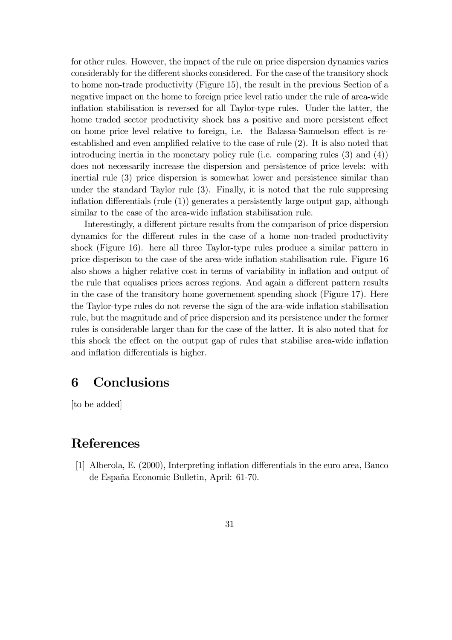for other rules. However, the impact of the rule on price dispersion dynamics varies considerably for the different shocks considered. For the case of the transitory shock to home non-trade productivity (Figure 15), the result in the previous Section of a negative impact on the home to foreign price level ratio under the rule of area-wide inflation stabilisation is reversed for all Taylor-type rules. Under the latter, the home traded sector productivity shock has a positive and more persistent effect on home price level relative to foreign, i.e. the Balassa-Samuelson effect is reestablished and even amplified relative to the case of rule (2). It is also noted that introducing inertia in the monetary policy rule (i.e. comparing rules (3) and (4)) does not necessarily increase the dispersion and persistence of price levels: with inertial rule (3) price dispersion is somewhat lower and persistence similar than under the standard Taylor rule (3). Finally, it is noted that the rule suppresing inflation differentials (rule (1)) generates a persistently large output gap, although similar to the case of the area-wide inflation stabilisation rule.

Interestingly, a different picture results from the comparison of price dispersion dynamics for the different rules in the case of a home non-traded productivity shock (Figure 16). here all three Taylor-type rules produce a similar pattern in price disperison to the case of the area-wide inflation stabilisation rule. Figure 16 also shows a higher relative cost in terms of variability in inflation and output of the rule that equalises prices across regions. And again a different pattern results in the case of the transitory home governement spending shock (Figure 17). Here the Taylor-type rules do not reverse the sign of the ara-wide inflation stabilisation rule, but the magnitude and of price dispersion and its persistence under the former rules is considerable larger than for the case of the latter. It is also noted that for this shock the effect on the output gap of rules that stabilise area-wide inflation and inflation differentials is higher.

# 6 Conclusions

[to be added]

## References

[1] Alberola, E. (2000), Interpreting inflation differentials in the euro area, Banco de España Economic Bulletin, April: 61-70.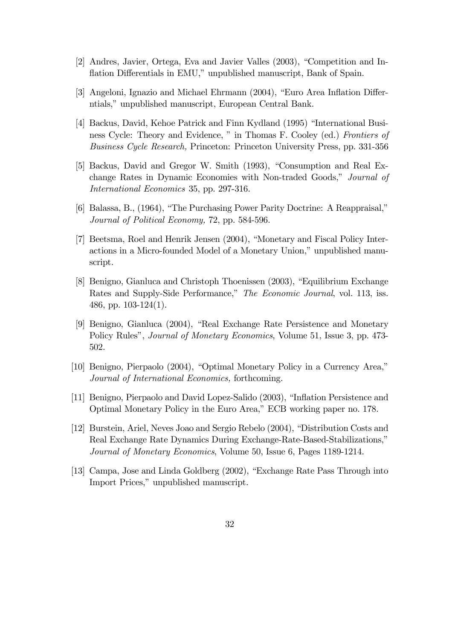- $[2]$  Andres, Javier, Ortega, Eva and Javier Valles  $(2003)$ , "Competition and Inflation Differentials in EMU," unpublished manuscript, Bank of Spain.
- [3] Angeloni, Ignazio and Michael Ehrmann  $(2004)$ , "Euro Area Inflation Differntials," unpublished manuscript, European Central Bank.
- [4] Backus, David, Kehoe Patrick and Finn Kydland (1995) "International Business Cycle: Theory and Evidence, " in Thomas F. Cooley (ed.) Frontiers of Business Cycle Research, Princeton: Princeton University Press, pp. 331-356
- [5] Backus, David and Gregor W. Smith (1993), "Consumption and Real Exchange Rates in Dynamic Economies with Non-traded Goods," Journal of International Economics 35, pp. 297-316.
- [6] Balassa, B., (1964), "The Purchasing Power Parity Doctrine: A Reappraisal," Journal of Political Economy, 72, pp. 584-596.
- [7] Beetsma, Roel and Henrik Jensen (2004), "Monetary and Fiscal Policy Interactions in a Micro-founded Model of a Monetary Union," unpublished manuscript.
- [8] Benigno, Gianluca and Christoph Thoenissen (2003), "Equilibrium Exchange Rates and Supply-Side Performance," The Economic Journal, vol. 113, iss. 486, pp. 103-124(1).
- [9] Benigno, Gianluca (2004), "Real Exchange Rate Persistence and Monetary Policy Rules", *Journal of Monetary Economics*, Volume 51, Issue 3, pp. 473-502.
- $[10]$  Benigno, Pierpaolo  $(2004)$ , "Optimal Monetary Policy in a Currency Area," Journal of International Economics, forthcoming.
- [11] Benigno, Pierpaolo and David Lopez-Salido (2003), "Inflation Persistence and Optimal Monetary Policy in the Euro Area," ECB working paper no. 178.
- [12] Burstein, Ariel, Neves Joao and Sergio Rebelo (2004), "Distribution Costs and Real Exchange Rate Dynamics During Exchange-Rate-Based-Stabilizations, Journal of Monetary Economics, Volume 50, Issue 6, Pages 1189-1214.
- [13] Campa, Jose and Linda Goldberg (2002), "Exchange Rate Pass Through into Import Prices," unpublished manuscript.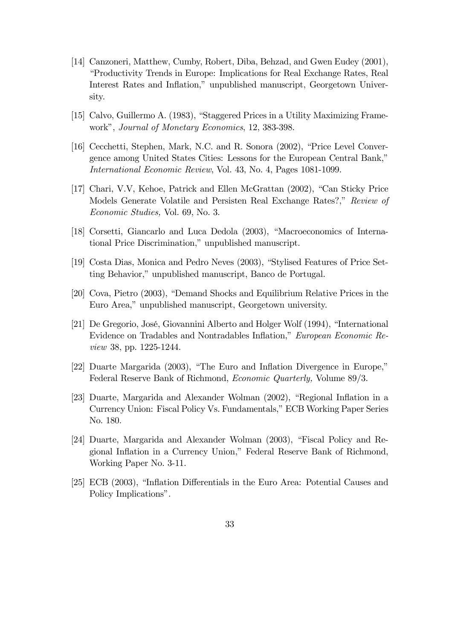- [14] Canzoneri, Matthew, Cumby, Robert, Diba, Behzad, and Gwen Eudey (2001), ìProductivity Trends in Europe: Implications for Real Exchange Rates, Real Interest Rates and Inflation,î unpublished manuscript, Georgetown University.
- [15] Calvo, Guillermo A. (1983), "Staggered Prices in a Utility Maximizing Framework", Journal of Monetary Economics, 12, 383-398.
- [16] Cecchetti, Stephen, Mark, N.C. and R. Sonora (2002), "Price Level Convergence among United States Cities: Lessons for the European Central Bank," International Economic Review, Vol. 43, No. 4, Pages 1081-1099.
- [17] Chari, V.V, Kehoe, Patrick and Ellen McGrattan (2002), "Can Sticky Price Models Generate Volatile and Persisten Real Exchange Rates?," Review of Economic Studies, Vol. 69, No. 3.
- [18] Corsetti, Giancarlo and Luca Dedola (2003), "Macroeconomics of International Price Discrimination," unpublished manuscript.
- [19] Costa Dias, Monica and Pedro Neves  $(2003)$ , "Stylised Features of Price Setting Behavior," unpublished manuscript, Banco de Portugal.
- [20] Cova, Pietro (2003), "Demand Shocks and Equilibrium Relative Prices in the Euro Area," unpublished manuscript, Georgetown university.
- [21] De Gregorio, José, Giovannini Alberto and Holger Wolf (1994), "International Evidence on Tradables and Nontradables Inflation," European Economic Review 38, pp. 1225-1244.
- $[22]$  Duarte Margarida  $(2003)$ , "The Euro and Inflation Divergence in Europe," Federal Reserve Bank of Richmond, Economic Quarterly, Volume 89/3.
- [23] Duarte, Margarida and Alexander Wolman  $(2002)$ , "Regional Inflation in a Currency Union: Fiscal Policy Vs. Fundamentals," ECB Working Paper Series No. 180.
- [24] Duarte, Margarida and Alexander Wolman (2003), "Fiscal Policy and Regional Inflation in a Currency Union," Federal Reserve Bank of Richmond, Working Paper No. 3-11.
- [25] ECB (2003), "Inflation Differentials in the Euro Area: Potential Causes and Policy Implications".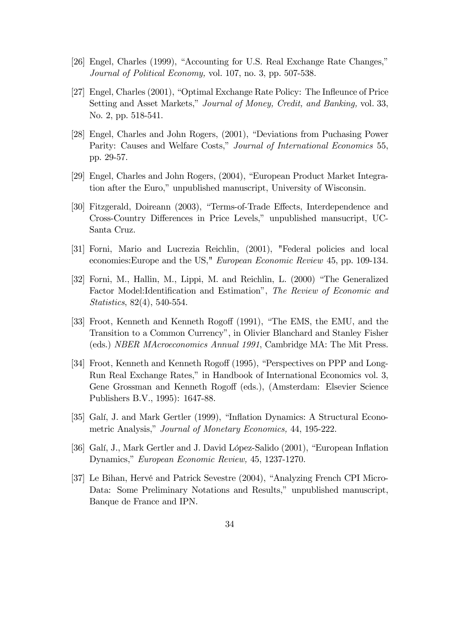- [26] Engel, Charles (1999), "Accounting for U.S. Real Exchange Rate Changes," Journal of Political Economy, vol. 107, no. 3, pp. 507-538.
- [27] Engel, Charles (2001), "Optimal Exchange Rate Policy: The Infleunce of Price Setting and Asset Markets," Journal of Money, Credit, and Banking, vol. 33, No. 2, pp. 518-541.
- [28] Engel, Charles and John Rogers, (2001), "Deviations from Puchasing Power Parity: Causes and Welfare Costs," Journal of International Economics 55, pp. 29-57.
- [29] Engel, Charles and John Rogers, (2004), "European Product Market Integration after the Euro," unpublished manuscript, University of Wisconsin.
- [30] Fitzgerald, Doireann (2003), "Terms-of-Trade Effects, Interdependence and Cross-Country Differences in Price Levels," unpublished mansucript, UC-Santa Cruz.
- [31] Forni, Mario and Lucrezia Reichlin, (2001), "Federal policies and local economies:Europe and the US," European Economic Review 45, pp. 109-134.
- [32] Forni, M., Hallin, M., Lippi, M. and Reichlin, L. (2000) "The Generalized Factor Model: Identification and Estimation", The Review of Economic and Statistics, 82(4), 540-554.
- [33] Froot, Kenneth and Kenneth Rogoff (1991), "The EMS, the EMU, and the Transition to a Common Currency", in Olivier Blanchard and Stanley Fisher (eds.) NBER MAcroeconomics Annual 1991, Cambridge MA: The Mit Press.
- [34] Froot, Kenneth and Kenneth Rogoff (1995), "Perspectives on PPP and Long-Run Real Exchange Rates," in Handbook of International Economics vol. 3, Gene Grossman and Kenneth Rogoff (eds.), (Amsterdam: Elsevier Science Publishers B.V., 1995): 1647-88.
- [35] Galí, J. and Mark Gertler (1999), "Inflation Dynamics: A Structural Econometric Analysis," Journal of Monetary Economics, 44, 195-222.
- [36] Galí, J., Mark Gertler and J. David López-Salido (2001), "European Inflation Dynamics," European Economic Review, 45, 1237-1270.
- [37] Le Bihan, Hervé and Patrick Sevestre (2004), "Analyzing French CPI Micro-Data: Some Preliminary Notations and Results," unpublished manuscript, Banque de France and IPN.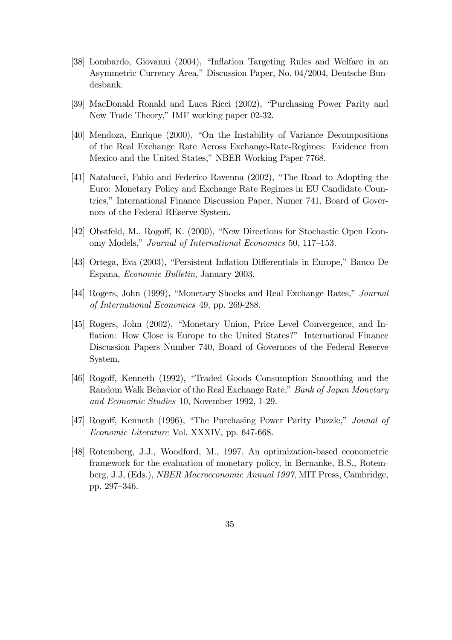- [38] Lombardo, Giovanni (2004), "Inflation Targeting Rules and Welfare in an Asymmetric Currency Area,î Discussion Paper, No. 04/2004, Deutsche Bundesbank.
- [39] MacDonald Ronald and Luca Ricci (2002), "Purchasing Power Parity and New Trade Theory," IMF working paper 02-32.
- [40] Mendoza, Enrique (2000), "On the Instability of Variance Decompositions of the Real Exchange Rate Across Exchange-Rate-Regimes: Evidence from Mexico and the United States," NBER Working Paper 7768.
- [41] Natalucci, Fabio and Federico Ravenna (2002), "The Road to Adopting the Euro: Monetary Policy and Exchange Rate Regimes in EU Candidate Countries," International Finance Discussion Paper, Numer 741, Board of Governors of the Federal REserve System.
- [42] Obstfeld, M., Rogoff, K. (2000), "New Directions for Stochastic Open Economy Models," Journal of International Economics 50, 117–153.
- [43] Ortega, Eva (2003), "Persistent Inflation Differentials in Europe," Banco De Espana, Economic Bulletin, January 2003.
- [44] Rogers, John (1999), "Monetary Shocks and Real Exchange Rates," Journal of International Economics 49, pp. 269-288.
- [45] Rogers, John (2002), "Monetary Union, Price Level Convergence, and Inflation: How Close is Europe to the United States?" International Finance Discussion Papers Number 740, Board of Governors of the Federal Reserve System.
- [46] Rogoff, Kenneth (1992), "Traded Goods Consumption Smoothing and the Random Walk Behavior of the Real Exchange Rate," Bank of Japan Monetary and Economic Studies 10, November 1992, 1-29.
- [47] Rogoff, Kenneth (1996), "The Purchasing Power Parity Puzzle," Jounal of Economic Literature Vol. XXXIV, pp. 647-668.
- [48] Rotemberg, J.J., Woodford, M., 1997. An optimization-based econometric framework for the evaluation of monetary policy, in Bernanke, B.S., Rotemberg, J.J, (Eds.), NBER Macroeconomic Annual 1997, MIT Press, Cambridge, pp. 297-346.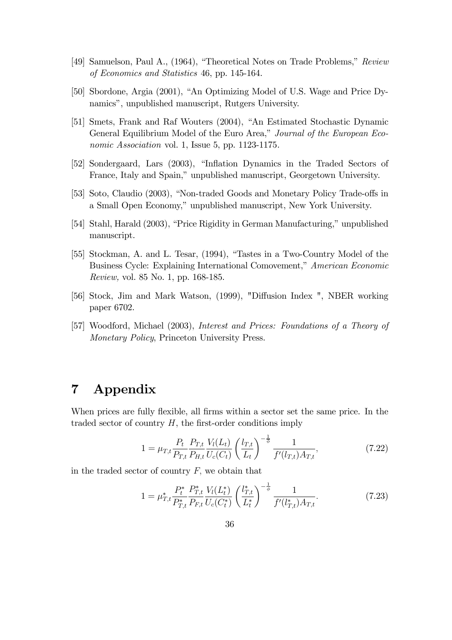- [49] Samuelson, Paul A., (1964), "Theoretical Notes on Trade Problems," Review of Economics and Statistics 46, pp. 145-164.
- [50] Sbordone, Argia (2001), "An Optimizing Model of U.S. Wage and Price Dynamics", unpublished manuscript, Rutgers University.
- [51] Smets, Frank and Raf Wouters (2004), "An Estimated Stochastic Dynamic General Equilibrium Model of the Euro Area," Journal of the European Economic Association vol. 1, Issue 5, pp. 1123-1175.
- [52] Sondergaard, Lars (2003), "Inflation Dynamics in the Traded Sectors of France, Italy and Spain,î unpublished manuscript, Georgetown University.
- [53] Soto, Claudio (2003), "Non-traded Goods and Monetary Policy Trade-offs in a Small Open Economy," unpublished manuscript, New York University.
- [54] Stahl, Harald (2003), "Price Rigidity in German Manufacturing," unpublished manuscript.
- [55] Stockman, A. and L. Tesar,  $(1994)$ , "Tastes in a Two-Country Model of the Business Cycle: Explaining International Comovement," American Economic Review, vol. 85 No. 1, pp. 168-185.
- [56] Stock, Jim and Mark Watson, (1999), "Diffusion Index ", NBER working paper 6702.
- [57] Woodford, Michael (2003), Interest and Prices: Foundations of a Theory of Monetary Policy, Princeton University Press.

# 7 Appendix

When prices are fully flexible, all firms within a sector set the same price. In the traded sector of country  $H$ , the first-order conditions imply

$$
1 = \mu_{T,t} \frac{P_t}{P_{T,t}} \frac{P_{T,t}}{P_{H,t}} \frac{V_l(L_t)}{U_c(C_t)} \left(\frac{l_{T,t}}{L_t}\right)^{-\frac{1}{\phi}} \frac{1}{f'(l_{T,t}) A_{T,t}},\tag{7.22}
$$

in the traded sector of country  $F$ , we obtain that

$$
1 = \mu_{T,t}^* \frac{P_t^*}{P_{T,t}^*} \frac{P_{T,t}^*}{P_{F,t}} \frac{V_l(L_t^*)}{U_c(C_t^*)} \left(\frac{l_{T,t}^*}{L_t^*}\right)^{-\frac{1}{\phi}} \frac{1}{f'(l_{T,t}^*) A_{T,t}}.\tag{7.23}
$$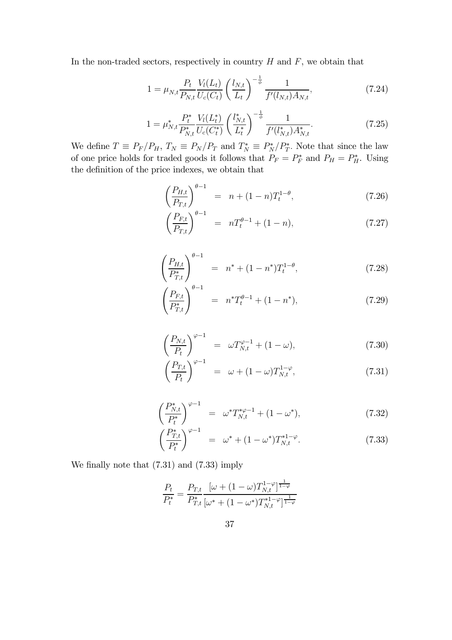In the non-traded sectors, respectively in country  $H$  and  $F$ , we obtain that

$$
1 = \mu_{N,t} \frac{P_t}{P_{N,t}} \frac{V_l(L_t)}{U_c(C_t)} \left(\frac{l_{N,t}}{L_t}\right)^{-\frac{1}{\phi}} \frac{1}{f'(l_{N,t}) A_{N,t}},\tag{7.24}
$$

$$
1 = \mu_{N,t}^* \frac{P_t^*}{P_{N,t}^*} \frac{V_l(L_t^*)}{U_c(C_t^*)} \left(\frac{l_{N,t}^*}{L_t^*}\right)^{-\frac{1}{\phi}} \frac{1}{f'(l_{N,t}^*) A_{N,t}^*}.
$$
\n(7.25)

We define  $T \equiv P_F/P_H$ ,  $T_N \equiv P_N/P_T$  and  $T_N^* \equiv P_N^*/P_T^*$ . Note that since the law of one price holds for traded goods it follows that  $P_F = P_F^*$  and  $P_H = P_H^*$ . Using the definition of the price indexes, we obtain that

$$
\left(\frac{P_{H,t}}{P_{T,t}}\right)^{\theta-1} = n + (1-n)T_t^{1-\theta},\tag{7.26}
$$

$$
\left(\frac{P_{F,t}}{P_{T,t}}\right)^{\theta-1} = nT_t^{\theta-1} + (1-n),\tag{7.27}
$$

$$
\left(\frac{P_{H,t}}{P_{T,t}^*}\right)^{\theta-1} = n^* + (1-n^*)T_t^{1-\theta},\tag{7.28}
$$

$$
\left(\frac{P_{F,t}}{P_{T,t}^*}\right)^{\theta-1} = n^*T_t^{\theta-1} + (1-n^*),\tag{7.29}
$$

$$
\left(\frac{P_{N,t}}{P_t}\right)^{\varphi-1} = \omega T_{N,t}^{\varphi-1} + (1-\omega),\tag{7.30}
$$

$$
\left(\frac{P_{T,t}}{P_t}\right)^{\varphi-1} = \omega + (1-\omega)T_{N,t}^{1-\varphi},\tag{7.31}
$$

$$
\left(\frac{P_{N,t}^*}{P_t^*}\right)^{\varphi-1} = \omega^* T_{N,t}^{*\varphi-1} + (1 - \omega^*),\tag{7.32}
$$

$$
\left(\frac{P_{T,t}^*}{P_t^*}\right)^{\varphi-1} = \omega^* + (1 - \omega^*)T_{N,t}^{*1-\varphi}.
$$
\n(7.33)

We finally note that (7.31) and (7.33) imply

$$
\frac{P_t}{P_t^*} = \frac{P_{T,t}}{P_{T,t}^*} \frac{[\omega + (1-\omega) T_{N,t}^{1-\varphi}]^{\frac{1}{1-\varphi}}}{[\omega^* + (1-\omega^*) T_{N,t}^{*1-\varphi}]^{\frac{1}{1-\varphi}}}
$$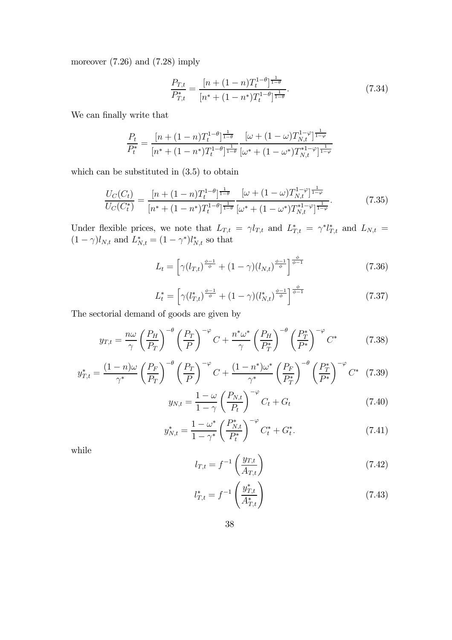moreover (7.26) and (7.28) imply

$$
\frac{P_{T,t}}{P_{T,t}^*} = \frac{[n + (1-n)T_t^{1-\theta}]^{\frac{1}{1-\theta}}}{[n^* + (1-n^*)T_t^{1-\theta}]^{\frac{1}{1-\theta}}}.
$$
\n(7.34)

We can finally write that

$$
\frac{P_t}{P_t^*} = \frac{[n + (1 - n)T_t^{1 - \theta}]^{\frac{1}{1 - \theta}}}{[n^* + (1 - n^*)T_t^{1 - \theta}]^{\frac{1}{1 - \theta}}} \frac{[\omega + (1 - \omega)T_{N,t}^{1 - \varphi}]^{\frac{1}{1 - \varphi}}}{[\omega^* + (1 - \omega^*)T_{N,t}^{*1 - \varphi}]^{\frac{1}{1 - \varphi}}}
$$

which can be substituted in  $(3.5)$  to obtain

$$
\frac{U_C(C_t)}{U_C(C_t^*)} = \frac{[n + (1 - n)T_t^{1 - \theta}]^{\frac{1}{1 - \theta}}}{[n^* + (1 - n^*)T_t^{1 - \theta}]^{\frac{1}{1 - \theta}}} \frac{[\omega + (1 - \omega)T_{N,t}^{1 - \varphi}]^{\frac{1}{1 - \varphi}}}{[\omega^* + (1 - \omega^*)T_{N,t}^{*1 - \varphi}]^{\frac{1}{1 - \varphi}}}.
$$
(7.35)

Under flexible prices, we note that  $L_{T,t} = \gamma l_{T,t}$  and  $L_{T,t}^* = \gamma^* l_{T,t}^*$  and  $L_{N,t} =$  $(1 - \gamma)l_{N,t}$  and  $L_{N,t}^* = (1 - \gamma^*)l_{N,t}^*$  so that

$$
L_t = \left[ \gamma(l_{T,t})^{\frac{\phi-1}{\phi}} + (1-\gamma)(l_{N,t})^{\frac{\phi-1}{\phi}} \right]^{\frac{\phi}{\phi-1}}
$$
(7.36)

$$
L_t^* = \left[ \gamma (l_{T,t}^*)^{\frac{\phi-1}{\phi}} + (1 - \gamma) (l_{N,t}^*)^{\frac{\phi-1}{\phi}} \right]^{\frac{\phi}{\phi-1}}
$$
(7.37)

The sectorial demand of goods are given by

$$
y_{T,t} = \frac{n\omega}{\gamma} \left(\frac{P_H}{P_T}\right)^{-\theta} \left(\frac{P_T}{P}\right)^{-\varphi} C + \frac{n^*\omega^*}{\gamma} \left(\frac{P_H}{P_T^*}\right)^{-\theta} \left(\frac{P_T^*}{P^*}\right)^{-\varphi} C^* \tag{7.38}
$$

$$
y_{T,t}^* = \frac{(1-n)\omega}{\gamma^*} \left(\frac{P_F}{P_T}\right)^{-\theta} \left(\frac{P_T}{P}\right)^{-\varphi} C + \frac{(1-n^*)\omega^*}{\gamma^*} \left(\frac{P_F}{P_T^*}\right)^{-\theta} \left(\frac{P_T^*}{P^*}\right)^{-\varphi} C^* \tag{7.39}
$$

$$
y_{N,t} = \frac{1-\omega}{1-\gamma} \left(\frac{P_{N,t}}{P_t}\right)^{-\varphi} C_t + G_t \tag{7.40}
$$

$$
y_{N,t}^* = \frac{1 - \omega^*}{1 - \gamma^*} \left(\frac{P_{N,t}^*}{P_t^*}\right)^{-\varphi} C_t^* + G_t^*.
$$
 (7.41)

while

$$
l_{T,t} = f^{-1}\left(\frac{y_{T,t}}{A_{T,t}}\right) \tag{7.42}
$$

$$
l_{T,t}^* = f^{-1}\left(\frac{y_{T,t}^*}{A_{T,t}^*}\right) \tag{7.43}
$$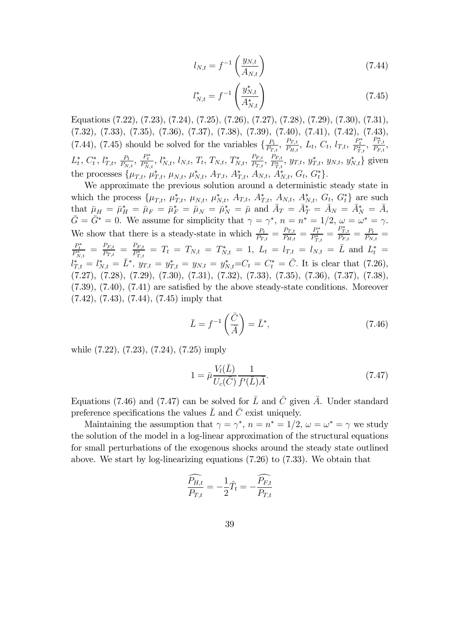$$
l_{N,t} = f^{-1}\left(\frac{y_{N,t}}{A_{N,t}}\right) \tag{7.44}
$$

$$
l_{N,t}^* = f^{-1}\left(\frac{y_{N,t}^*}{A_{N,t}^*}\right) \tag{7.45}
$$

Equations (7.22), (7.23), (7.24), (7.25) (7.26), (7.27), (7.28), (7.29), (7.30), (7.31), (7.32), (7.33), (7.35), (7.36), (7.37), (7.38), (7.39), (7.40), (7.41), (7.42), (7.43),  $(7.44), (7.45)$  should be solved for the variables  $\{\frac{P_t}{P_{T,t}}, \frac{P_{T,t}}{P_{H,t}}, L_t, C_t, l_{T,t}, \frac{P_t^*}{P_{T,t}^*}, \frac{P_{T,t}^*}{P_{F,t}}, \frac{P_{T,t}^*}{P_{T,t}}\}$  $_{T,t}$  $L_t^*, C_t^*, l_{T,t}^*, \frac{P_t}{P_{N,t}}$ ,  $\frac{P_t^*}{P_{N,t}^*, l_{N,t}^*, l_{N,t}$ ,  $T_t, T_{N,t}, T_{N,t}^*, \frac{P_{F,t}}{P_{T,t}^*, l_{T,t}^*, y_{T,t}, y_{N,t}^*, y_{N,t}}$  given the processes  $\{\mu_{T,t}, \mu_{T,t}^*, \mu_{N,t}, \mu_{N,t}^*, A_{T,t}, A_{T,t}^*, A_{N,t}, A_{N,t}^*, G_t, G_t^*\}.$ 

We approximate the previous solution around a deterministic steady state in which the process  $\{\mu_{T,t}, \mu_{T,t}^*, \mu_{N,t}, \mu_{N,t}^*, A_{T,t}, A_{T,t}^*, A_{N,t}, A_{N,t}^*, G_t, G_t^*\}\$  are such  $\text{that}~~\bar{\mu}_H\,=\,\bar{\mu}_H^* \,=\,\bar{\mu}_F\,=\,\bar{\mu}_F^* \,=\,\bar{\mu}_N\,=\,\bar{\mu}_N^* \,=\,\bar{\mu}~~\text{and}~~\bar{A}_T\,=\,\bar{A}_T^* \,=\,\bar{A}_N\,=\,\bar{A}_N^* \,=\,\bar{A},$  $\overline{G} = \overline{G}^* = 0$ . We assume for simplicity that  $\gamma = \gamma^*$ ,  $n = n^* = 1/2$ ,  $\omega = \omega^* = \gamma$ . We show that there is a steady-state in which  $\frac{P_t}{P_{T,t}} = \frac{P_{T,t}}{P_{H,t}} = \frac{P_{T,t}^*}{P_{T,t}^*} = \frac{P_{T,t}^*}{P_{F,t}} = \frac{P_t}{P_{N,t}} =$  $\frac{P^*_{t}}{P^*_{N,t}} \; = \; \frac{P_{F,t}}{P_{T,t}} \; = \; \frac{P_{F,t}}{P^*_{T,t}} \; = \; T_t \; = \; T_{N,t} \; = \; T^*_{N,t} \; = \; 1, \; L_t \; = \; l_{T,t} \; = \; l_{N,t} \; = \; \bar{L} \; \text{and} \; L^*_t \; = \;$  $l_{T,t}^* = l_{N,t}^* = \bar{L}^*, y_{T,t} = y_{T,t}^* = y_{N,t} = y_{N,t}^* = C_t = C_t^* = \bar{C}.$  It is clear that (7.26), (7.27), (7.28), (7.29), (7.30), (7.31), (7.32), (7.33), (7.35), (7.36), (7.37), (7.38), (7.39), (7.40), (7.41) are satisfied by the above steady-state conditions. Moreover (7.42), (7.43), (7.44), (7.45) imply that

$$
\bar{L} = f^{-1}\left(\frac{\bar{C}}{\bar{A}}\right) = \bar{L}^*,\tag{7.46}
$$

while (7.22), (7.23), (7.24), (7.25) imply

$$
1 = \bar{\mu} \frac{V_l(\bar{L})}{U_c(\bar{C})} \frac{1}{f'(\bar{L})\bar{A}}.
$$
\n(7.47)

Equations (7.46) and (7.47) can be solved for  $\overline{L}$  and  $\overline{C}$  given  $\overline{A}$ . Under standard preference specifications the values  $\bar{L}$  and  $\bar{C}$  exist uniquely.

Maintaining the assumption that  $\gamma = \gamma^*$ ,  $n = n^* = 1/2$ ,  $\omega = \omega^* = \gamma$  we study the solution of the model in a log-linear approximation of the structural equations for small perturbations of the exogenous shocks around the steady state outlined above. We start by log-linearizing equations (7.26) to (7.33). We obtain that

$$
\frac{\widehat{P_{H,t}}}{P_{T,t}} = -\frac{1}{2}\hat{T}_t = -\frac{\widehat{P_{F,t}}}{P_{T,t}}
$$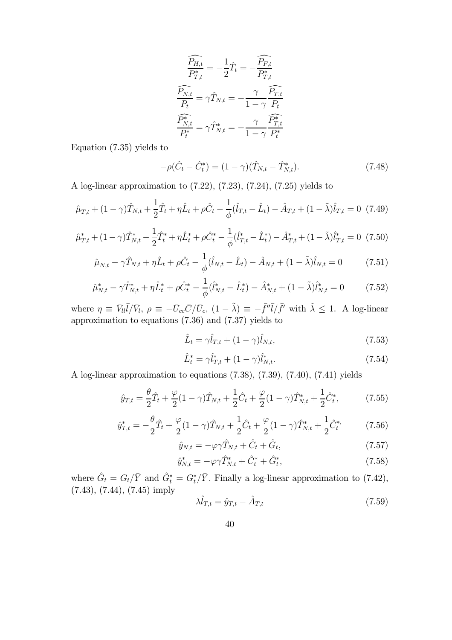$$
\frac{\widehat{P_{H,t}}}{P_{T,t}^*} = -\frac{1}{2}\hat{T}_t = -\frac{\widehat{P_{F,t}}}{P_{T,t}^*}
$$
\n
$$
\widehat{P_{N,t}} = \gamma \hat{T}_{N,t} = -\frac{\gamma}{1-\gamma} \frac{\widehat{P_{T,t}}}{P_t}
$$
\n
$$
\frac{\widehat{P_{N,t}^*}}{P_t^*} = \gamma \hat{T}_{N,t}^* = -\frac{\gamma}{1-\gamma} \frac{\widehat{P_{T,t}^*}}{P_t^*}
$$

Equation (7.35) yields to

$$
-\rho(\hat{C}_t - \hat{C}_t^*) = (1 - \gamma)(\hat{T}_{N,t} - \hat{T}_{N,t}^*).
$$
\n(7.48)

A log-linear approximation to (7.22), (7.23), (7.24), (7.25) yields to

$$
\hat{\mu}_{T,t} + (1 - \gamma)\hat{T}_{N,t} + \frac{1}{2}\hat{T}_t + \eta \hat{L}_t + \rho \hat{C}_t - \frac{1}{\phi}(\hat{l}_{T,t} - \hat{L}_t) - \hat{A}_{T,t} + (1 - \tilde{\lambda})\hat{l}_{T,t} = 0 \tag{7.49}
$$

$$
\hat{\mu}_{T,t}^* + (1 - \gamma)\hat{T}_{N,t}^* - \frac{1}{2}\hat{T}_t^* + \eta \hat{L}_t^* + \rho \hat{C}_t^* - \frac{1}{\phi}(\hat{l}_{T,t}^* - \hat{L}_t^*) - \hat{A}_{T,t}^* + (1 - \tilde{\lambda})\hat{l}_{T,t}^* = 0 \tag{7.50}
$$

$$
\hat{\mu}_{N,t} - \gamma \hat{T}_{N,t} + \eta \hat{L}_t + \rho \hat{C}_t - \frac{1}{\phi} (\hat{l}_{N,t} - \hat{L}_t) - \hat{A}_{N,t} + (1 - \tilde{\lambda}) \hat{l}_{N,t} = 0 \tag{7.51}
$$

$$
\hat{\mu}_{N,t}^* - \gamma \hat{T}_{N,t}^* + \eta \hat{L}_t^* + \rho \hat{C}_t^* - \frac{1}{\phi} (\hat{l}_{N,t}^* - \hat{L}_t^*) - \hat{A}_{N,t}^* + (1 - \tilde{\lambda}) \hat{l}_{N,t}^* = 0 \tag{7.52}
$$

where  $\eta \equiv \bar{V}_{ll} \bar{l}/\bar{V}_{l}$ ,  $\rho \equiv -\bar{U}_{cc} \bar{C}/\bar{U}_{c}$ ,  $(1 - \tilde{\lambda}) \equiv -\bar{f}'' \bar{l}/\bar{f}'$  with  $\tilde{\lambda} \leq 1$ . A log-linear approximation to equations (7.36) and (7.37) yields to

$$
\hat{L}_t = \gamma \hat{l}_{T,t} + (1 - \gamma)\hat{l}_{N,t},\tag{7.53}
$$

$$
\hat{L}_t^* = \gamma \hat{l}_{T,t}^* + (1 - \gamma) \hat{l}_{N,t}^*.
$$
\n(7.54)

A log-linear approximation to equations (7.38), (7.39), (7.40), (7.41) yields

$$
\hat{y}_{T,t} = \frac{\theta}{2}\hat{T}_t + \frac{\varphi}{2}(1-\gamma)\hat{T}_{N,t} + \frac{1}{2}\hat{C}_t + \frac{\varphi}{2}(1-\gamma)\hat{T}_{N,t}^* + \frac{1}{2}\hat{C}_t^*,
$$
\n(7.55)

$$
\hat{y}_{T,t}^* = -\frac{\theta}{2}\hat{T}_t + \frac{\varphi}{2}(1-\gamma)\hat{T}_{N,t} + \frac{1}{2}\hat{C}_t + \frac{\varphi}{2}(1-\gamma)\hat{T}_{N,t}^* + \frac{1}{2}\hat{C}_t^{*,}
$$
(7.56)

$$
\hat{y}_{N,t} = -\varphi \gamma \hat{T}_{N,t} + \hat{C}_t + \hat{G}_t, \qquad (7.57)
$$

$$
\hat{y}_{N,t}^* = -\varphi \gamma \hat{T}_{N,t}^* + \hat{C}_t^* + \hat{G}_t^*,\tag{7.58}
$$

where  $\hat{G}_t = G_t/\bar{Y}$  and  $\hat{G}_t^* = G_t^*/\bar{Y}$ . Finally a log-linear approximation to (7.42), (7.43), (7.44), (7.45) imply

$$
\lambda \hat{l}_{T,t} = \hat{y}_{T,t} - \hat{A}_{T,t} \tag{7.59}
$$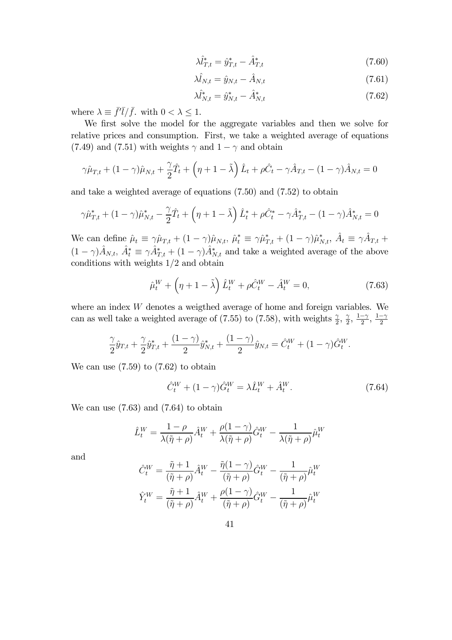$$
\lambda \hat{l}_{T,t}^* = \hat{y}_{T,t}^* - \hat{A}_{T,t}^* \tag{7.60}
$$

$$
\lambda \hat{l}_{N,t} = \hat{y}_{N,t} - \hat{A}_{N,t} \tag{7.61}
$$

$$
\lambda \hat{l}_{N,t}^* = \hat{y}_{N,t}^* - \hat{A}_{N,t}^* \tag{7.62}
$$

where  $\lambda \equiv \bar{f}^{\prime} \bar{l} / \bar{f}$ , with  $0 < \lambda < 1$ .

We first solve the model for the aggregate variables and then we solve for relative prices and consumption. First, we take a weighted average of equations (7.49) and (7.51) with weights  $\gamma$  and  $1 - \gamma$  and obtain

$$
\gamma \hat{\mu}_{T,t} + (1 - \gamma)\hat{\mu}_{N,t} + \frac{\gamma}{2}\hat{T}_t + \left(\eta + 1 - \tilde{\lambda}\right)\hat{L}_t + \rho \hat{C}_t - \gamma \hat{A}_{T,t} - (1 - \gamma)\hat{A}_{N,t} = 0
$$

and take a weighted average of equations (7.50) and (7.52) to obtain

$$
\gamma \hat{\mu}_{T,t}^* + (1 - \gamma) \hat{\mu}_{N,t}^* - \frac{\gamma}{2} \hat{T}_t + \left(\eta + 1 - \tilde{\lambda}\right) \hat{L}_t^* + \rho \hat{C}_t^* - \gamma \hat{A}_{T,t}^* - (1 - \gamma) \hat{A}_{N,t}^* = 0
$$

We can define  $\hat{\mu}_t \equiv \gamma \hat{\mu}_{T,t} + (1 - \gamma) \hat{\mu}_{N,t}, \ \hat{\mu}_t^* \equiv \gamma \hat{\mu}_{T,t}^* + (1 - \gamma) \hat{\mu}_{N,t}^*, \ \hat{A}_t \equiv \gamma \hat{A}_{T,t} +$  $(1 - \gamma)\hat{A}_{N,t}, \hat{A}_t^* \equiv \gamma \hat{A}_{T,t}^* + (1 - \gamma)\hat{A}_{N,t}^*$  and take a weighted average of the above conditions with weights  $1/2$  and obtain

$$
\hat{\mu}_t^W + \left(\eta + 1 - \tilde{\lambda}\right) \hat{L}_t^W + \rho \hat{C}_t^W - \hat{A}_t^W = 0,\tag{7.63}
$$

where an index  $W$  denotes a weigthed average of home and foreign variables. We can as well take a weighted average of (7.55) to (7.58), with weights  $\frac{\gamma}{2}$ ,  $\frac{\gamma}{2}$ ,  $\frac{1-\gamma}{2}$ ,  $\frac{1-\gamma}{2}$ 

$$
\frac{\gamma}{2}\hat{y}_{T,t} + \frac{\gamma}{2}\hat{y}_{T,t}^* + \frac{(1-\gamma)}{2}\hat{y}_{N,t}^* + \frac{(1-\gamma)}{2}\hat{y}_{N,t} = \hat{C}_t^W + (1-\gamma)\hat{G}_t^W.
$$

We can use  $(7.59)$  to  $(7.62)$  to obtain

$$
\hat{C}_t^W + (1 - \gamma)\hat{G}_t^W = \lambda \hat{L}_t^W + \hat{A}_t^W.
$$
\n(7.64)

We can use (7.63) and (7.64) to obtain

$$
\hat{L}_t^W = \frac{1-\rho}{\lambda(\tilde{\eta}+\rho)}\hat{A}_t^W + \frac{\rho(1-\gamma)}{\lambda(\tilde{\eta}+\rho)}\hat{G}_t^W - \frac{1}{\lambda(\tilde{\eta}+\rho)}\hat{\mu}_t^W
$$

and

$$
\hat{C}_{t}^{W} = \frac{\tilde{\eta} + 1}{(\tilde{\eta} + \rho)} \hat{A}_{t}^{W} - \frac{\tilde{\eta}(1 - \gamma)}{(\tilde{\eta} + \rho)} \hat{G}_{t}^{W} - \frac{1}{(\tilde{\eta} + \rho)} \hat{\mu}_{t}^{W}
$$

$$
\hat{Y}_{t}^{W} = \frac{\tilde{\eta} + 1}{(\tilde{\eta} + \rho)} \hat{A}_{t}^{W} + \frac{\rho(1 - \gamma)}{(\tilde{\eta} + \rho)} \hat{G}_{t}^{W} - \frac{1}{(\tilde{\eta} + \rho)} \hat{\mu}_{t}^{W}
$$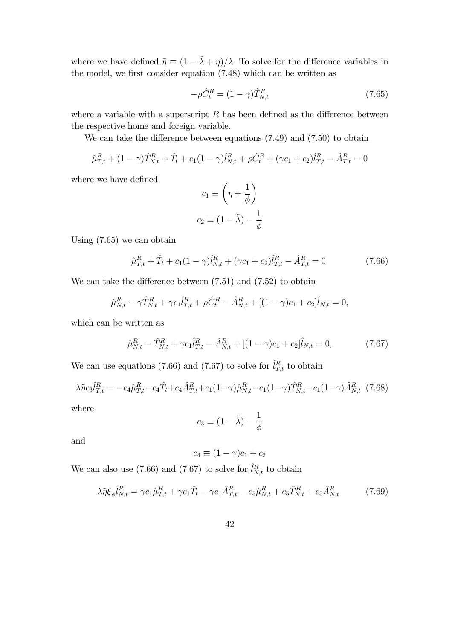where we have defined  $\tilde{\eta} \equiv (1 - \tilde{\lambda} + \eta)/\lambda$ . To solve for the difference variables in the model, we first consider equation (7.48) which can be written as

$$
-\rho \hat{C}_t^R = (1 - \gamma) \hat{T}_{N,t}^R \tag{7.65}
$$

where a variable with a superscript  $R$  has been defined as the difference between the respective home and foreign variable.

We can take the difference between equations (7.49) and (7.50) to obtain

$$
\hat{\mu}_{T,t}^R + (1 - \gamma)\hat{T}_{N,t}^R + \hat{T}_t + c_1(1 - \gamma)\hat{l}_{N,t}^R + \rho \hat{C}_t^R + (\gamma c_1 + c_2)\hat{l}_{T,t}^R - \hat{A}_{T,t}^R = 0
$$

where we have defined

$$
c_1 \equiv \left(\eta + \frac{1}{\phi}\right)
$$

$$
c_2 \equiv (1 - \tilde{\lambda}) - \frac{1}{\phi}
$$

Using (7.65) we can obtain

$$
\hat{\mu}_{T,t}^R + \hat{T}_t + c_1 (1 - \gamma) \hat{l}_{N,t}^R + (\gamma c_1 + c_2) \hat{l}_{T,t}^R - \hat{A}_{T,t}^R = 0.
$$
\n(7.66)

We can take the difference between  $(7.51)$  and  $(7.52)$  to obtain

$$
\hat{\mu}_{N,t}^R - \gamma \hat{T}_{N,t}^R + \gamma c_1 \hat{l}_{T,t}^R + \rho \hat{C}_t^R - \hat{A}_{N,t}^R + [(1-\gamma)c_1 + c_2]\hat{l}_{N,t} = 0,
$$

which can be written as

$$
\hat{\mu}_{N,t}^R - \hat{T}_{N,t}^R + \gamma c_1 \hat{l}_{T,t}^R - \hat{A}_{N,t}^R + [(1-\gamma)c_1 + c_2]\hat{l}_{N,t} = 0, \tag{7.67}
$$

We can use equations (7.66) and (7.67) to solve for  $\hat{l}_{T,t}^R$  to obtain

$$
\lambda \tilde{\eta} c_3 \hat{l}_{T,t}^R = -c_4 \hat{\mu}_{T,t}^R - c_4 \hat{T}_t + c_4 \hat{A}_{T,t}^R + c_1 (1-\gamma) \hat{\mu}_{N,t}^R - c_1 (1-\gamma) \hat{T}_{N,t}^R - c_1 (1-\gamma) \hat{A}_{N,t}^R
$$
(7.68)

where

$$
c_3 \equiv (1 - \tilde{\lambda}) - \frac{1}{\phi}
$$

and

$$
c_4 \equiv (1 - \gamma)c_1 + c_2
$$

We can also use (7.66) and (7.67) to solve for  $\hat{l}_{N,t}^{R}$  to obtain

$$
\lambda \tilde{\eta} \xi_{\phi} \hat{l}_{N,t}^{R} = \gamma c_{1} \hat{\mu}_{T,t}^{R} + \gamma c_{1} \hat{T}_{t} - \gamma c_{1} \hat{A}_{T,t}^{R} - c_{5} \hat{\mu}_{N,t}^{R} + c_{5} \hat{T}_{N,t}^{R} + c_{5} \hat{A}_{N,t}^{R}
$$
(7.69)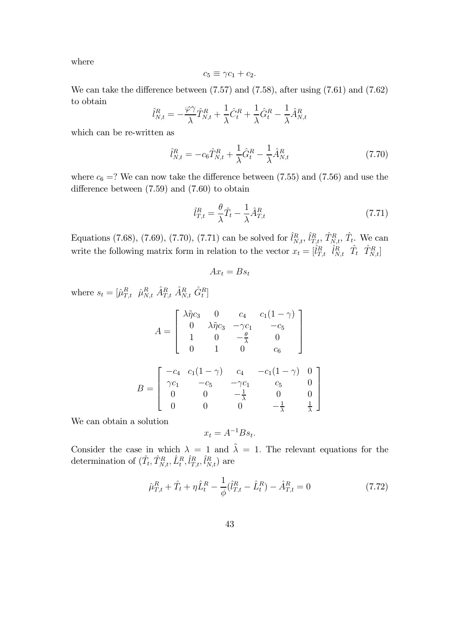where

$$
c_5 \equiv \gamma c_1 + c_2.
$$

We can take the difference between (7.57) and (7.58), after using (7.61) and (7.62) to obtain

$$
\hat{l}_{N,t}^{R} = -\frac{\varphi \gamma}{\lambda} \hat{T}_{N,t}^{R} + \frac{1}{\lambda} \hat{C}_{t}^{R} + \frac{1}{\lambda} \hat{G}_{t}^{R} - \frac{1}{\lambda} \hat{A}_{N,t}^{R}
$$

which can be re-written as

$$
\hat{l}_{N,t}^{R} = -c_6 \hat{T}_{N,t}^{R} + \frac{1}{\lambda} \hat{G}_t^{R} - \frac{1}{\lambda} \hat{A}_{N,t}^{R}
$$
\n(7.70)

where  $c_6 = ?$  We can now take the difference between (7.55) and (7.56) and use the difference between (7.59) and (7.60) to obtain

$$
\hat{l}_{T,t}^R = \frac{\theta}{\lambda} \hat{T}_t - \frac{1}{\lambda} \hat{A}_{T,t}^R
$$
\n(7.71)

Equations (7.68), (7.69), (7.70), (7.71) can be solved for  $\hat{l}_{N,t}^R$ ,  $\hat{l}_{T,t}^R$ ,  $\hat{T}_{N,t}^R$ ,  $\hat{T}_t$ . We can write the following matrix form in relation to the vector  $x_t = \begin{bmatrix} \hat{l}_{T,t}^R & \hat{l}_{N,t}^R & \hat{T}_t & \hat{T}_{N,t}^R \end{bmatrix}$ 

$$
Ax_t = Bs_t
$$

where  $s_t = [\hat{\mu}_{T,t}^R \ \hat{\mu}_{N,t}^R \ \hat{A}_{T,t}^R \ \hat{A}_{N,t}^R \ \hat{G}_t^R]$ 

$$
A = \begin{bmatrix} \lambda \tilde{\eta} c_3 & 0 & c_4 & c_1(1-\gamma) \\ 0 & \lambda \tilde{\eta} c_3 & -\gamma c_1 & -c_5 \\ 1 & 0 & -\frac{\theta}{\lambda} & 0 \\ 0 & 1 & 0 & c_6 \end{bmatrix}
$$

$$
B = \begin{bmatrix} -c_4 & c_1(1-\gamma) & c_4 & -c_1(1-\gamma) & 0 \\ \gamma c_1 & -c_5 & -\gamma c_1 & c_5 & 0 \\ 0 & 0 & -\frac{1}{\lambda} & 0 & 0 \\ 0 & 0 & 0 & -\frac{1}{\lambda} & \frac{1}{\lambda} \end{bmatrix}
$$

We can obtain a solution

$$
x_t = A^{-1} B s_t.
$$

Consider the case in which  $\lambda = 1$  and  $\tilde{\lambda} = 1$ . The relevant equations for the determination of  $(\hat{T}_t, \hat{T}_{N,t}^R, \hat{L}_t^R, \hat{l}_{T,t}^R, \hat{l}_{N,t}^R)$  are

$$
\hat{\mu}_{T,t}^R + \hat{T}_t + \eta \hat{L}_t^R - \frac{1}{\phi} (\hat{l}_{T,t}^R - \hat{L}_t^R) - \hat{A}_{T,t}^R = 0 \tag{7.72}
$$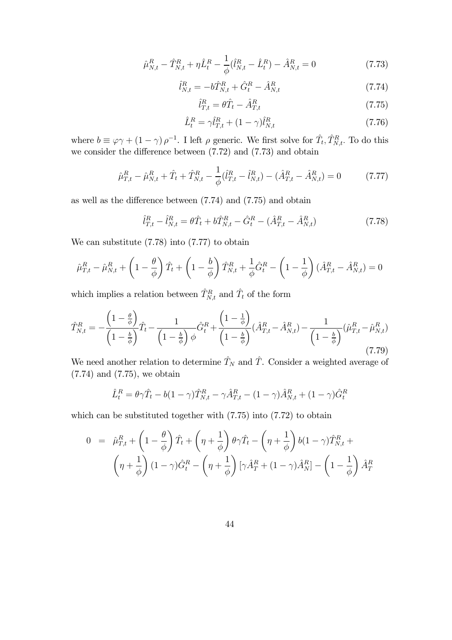$$
\hat{\mu}_{N,t}^R - \hat{T}_{N,t}^R + \eta \hat{L}_t^R - \frac{1}{\phi} (\hat{l}_{N,t}^R - \hat{L}_t^R) - \hat{A}_{N,t}^R = 0 \tag{7.73}
$$

$$
\hat{l}_{N,t}^{R} = -b\hat{T}_{N,t}^{R} + \hat{G}_{t}^{R} - \hat{A}_{N,t}^{R}
$$
\n(7.74)

$$
\hat{l}_{T,t}^R = \theta \hat{T}_t - \hat{A}_{T,t}^R \tag{7.75}
$$

$$
\hat{L}_t^R = \gamma \hat{l}_{T,t}^R + (1 - \gamma) \hat{l}_{N,t}^R \tag{7.76}
$$

where  $b \equiv \varphi \gamma + (1 - \gamma) \rho^{-1}$ . I left  $\rho$  generic. We first solve for  $\hat{T}_t, \hat{T}_{N,t}^R$ . To do this we consider the difference between  $(7.72)$  and  $(7.73)$  and obtain

$$
\hat{\mu}_{T,t}^R - \hat{\mu}_{N,t}^R + \hat{T}_t + \hat{T}_{N,t}^R - \frac{1}{\phi} (\hat{l}_{T,t}^R - \hat{l}_{N,t}^R) - (\hat{A}_{T,t}^R - \hat{A}_{N,t}^R) = 0 \tag{7.77}
$$

as well as the difference between (7.74) and (7.75) and obtain

$$
\hat{l}_{T,t}^{R} - \hat{l}_{N,t}^{R} = \theta \hat{T}_t + b \hat{T}_{N,t}^{R} - \hat{G}_t^{R} - (\hat{A}_{T,t}^{R} - \hat{A}_{N,t}^{R})
$$
\n(7.78)

We can substitute  $(7.78)$  into  $(7.77)$  to obtain

$$
\hat{\mu}_{T,t}^R - \hat{\mu}_{N,t}^R + \left(1 - \frac{\theta}{\phi}\right)\hat{T}_t + \left(1 - \frac{b}{\phi}\right)\hat{T}_{N,t}^R + \frac{1}{\phi}\hat{G}_t^R - \left(1 - \frac{1}{\phi}\right)(\hat{A}_{T,t}^R - \hat{A}_{N,t}^R) = 0
$$

which implies a relation between  $\hat{T}_{N,t}^R$  and  $\hat{T}_t$  of the form

$$
\hat{T}_{N,t}^{R} = -\frac{\left(1-\frac{\theta}{\phi}\right)}{\left(1-\frac{b}{\phi}\right)}\hat{T}_t - \frac{1}{\left(1-\frac{b}{\phi}\right)\phi}\hat{G}_t^R + \frac{\left(1-\frac{1}{\phi}\right)}{\left(1-\frac{b}{\phi}\right)}(\hat{A}_{T,t}^R - \hat{A}_{N,t}^R) - \frac{1}{\left(1-\frac{b}{\phi}\right)}(\hat{\mu}_{T,t}^R - \hat{\mu}_{N,t}^R)
$$
\n(7.79)

We need another relation to determine  $\hat{T}_N$  and  $\hat{T}$ . Consider a weighted average of (7.74) and (7.75), we obtain

$$
\hat{L}_t^R = \theta \gamma \hat{T}_t - b(1 - \gamma) \hat{T}_{N,t}^R - \gamma \hat{A}_{T,t}^R - (1 - \gamma) \hat{A}_{N,t}^R + (1 - \gamma) \hat{G}_t^R
$$

which can be substituted together with  $(7.75)$  into  $(7.72)$  to obtain

$$
0 = \hat{\mu}_{T,t}^R + \left(1 - \frac{\theta}{\phi}\right) \hat{T}_t + \left(\eta + \frac{1}{\phi}\right) \theta \gamma \hat{T}_t - \left(\eta + \frac{1}{\phi}\right) b(1 - \gamma) \hat{T}_{N,t}^R + \left(\eta + \frac{1}{\phi}\right) (1 - \gamma) \hat{G}_t^R - \left(\eta + \frac{1}{\phi}\right) [\gamma \hat{A}_T^R + (1 - \gamma) \hat{A}_N^R] - \left(1 - \frac{1}{\phi}\right) \hat{A}_T^R
$$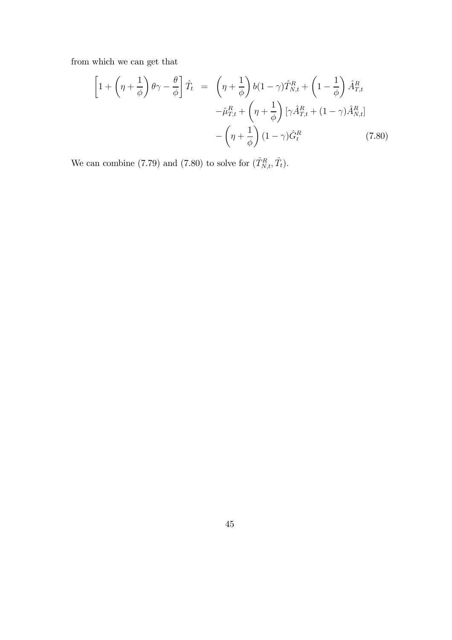from which we can get that

$$
\left[1+\left(\eta+\frac{1}{\phi}\right)\theta\gamma-\frac{\theta}{\phi}\right]\hat{T}_t = \left(\eta+\frac{1}{\phi}\right)b(1-\gamma)\hat{T}_{N,t}^R + \left(1-\frac{1}{\phi}\right)\hat{A}_{T,t}^R -\hat{\mu}_{T,t}^R + \left(\eta+\frac{1}{\phi}\right)[\gamma\hat{A}_{T,t}^R + (1-\gamma)\hat{A}_{N,t}^R] -\left(\eta+\frac{1}{\phi}\right)(1-\gamma)\hat{G}_t^R
$$
(7.80)

We can combine (7.79) and (7.80) to solve for  $(\hat{T}_{N,t}^R, \hat{T}_t)$ .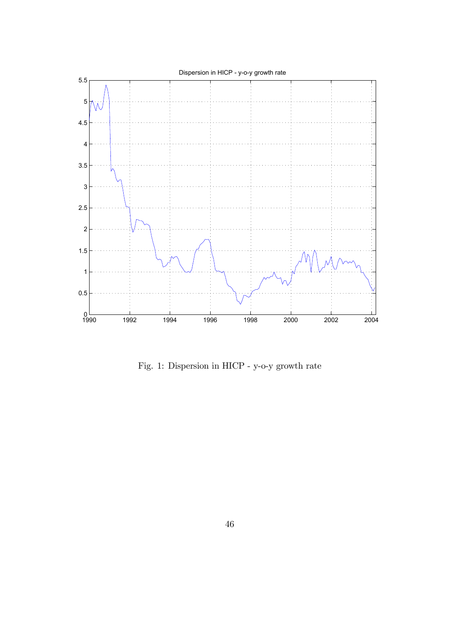

Fig. 1: Dispersion in HICP - y-o-y growth rate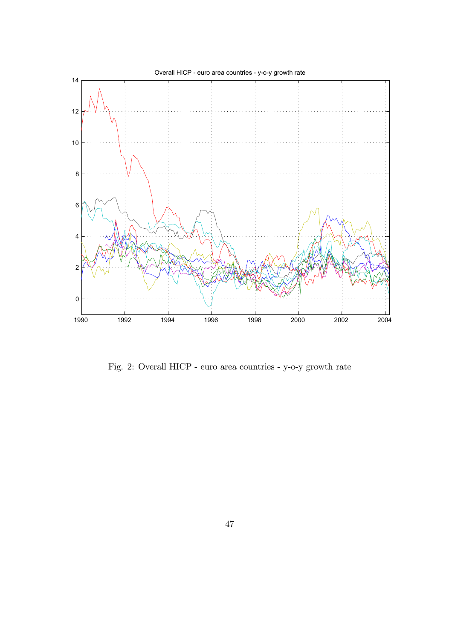

Fig. 2: Overall HICP - euro area countries - y-o-y growth rate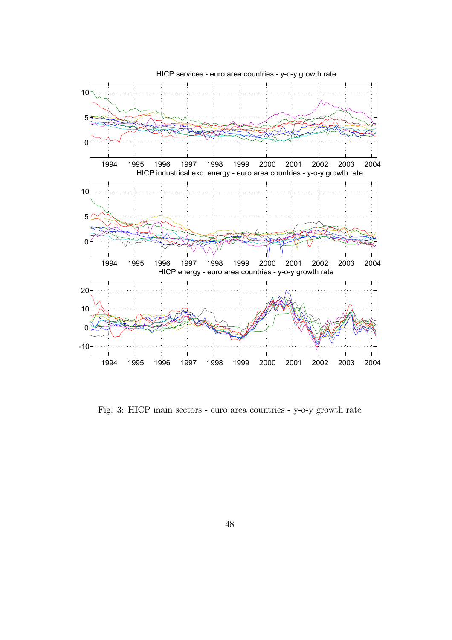

Fig. 3: HICP main sectors - euro area countries - y-o-y growth rate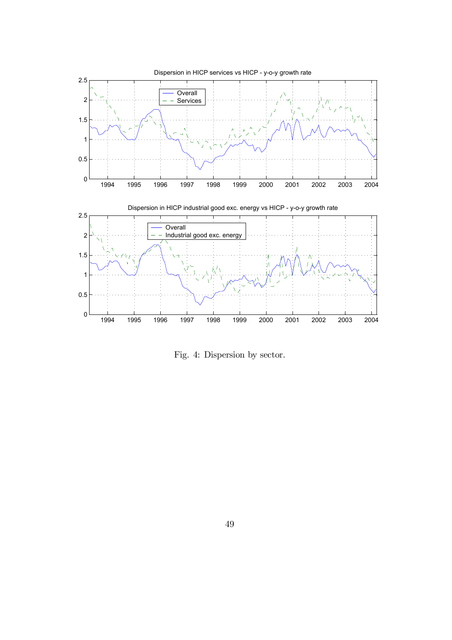

Fig. 4: Dispersion by sector.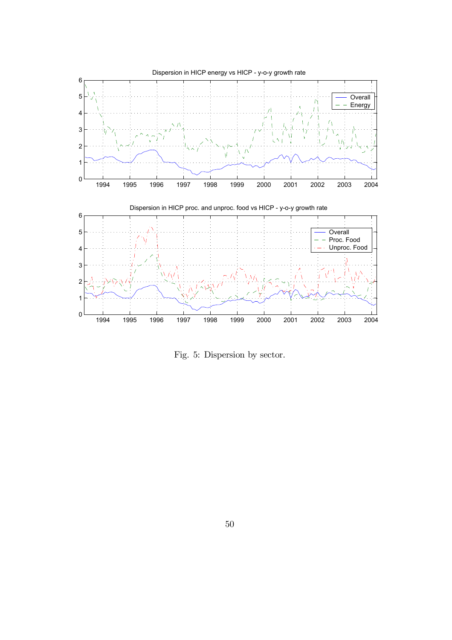

Fig. 5: Dispersion by sector.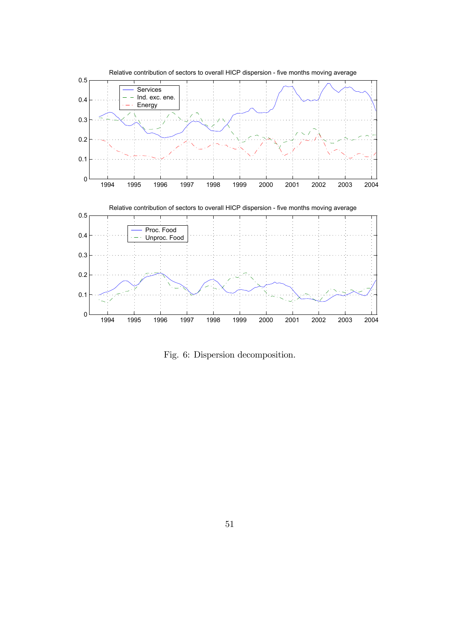

Fig. 6: Dispersion decomposition.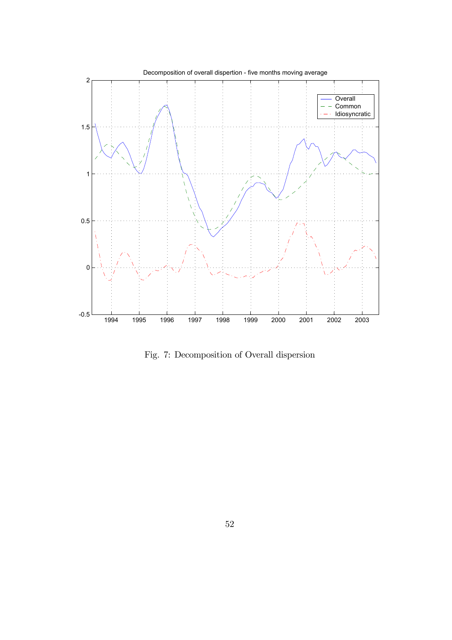

Fig. 7: Decomposition of Overall dispersion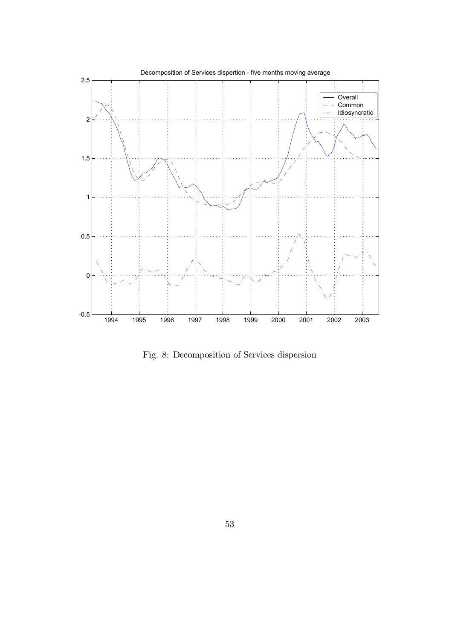

Fig. 8: Decomposition of Services dispersion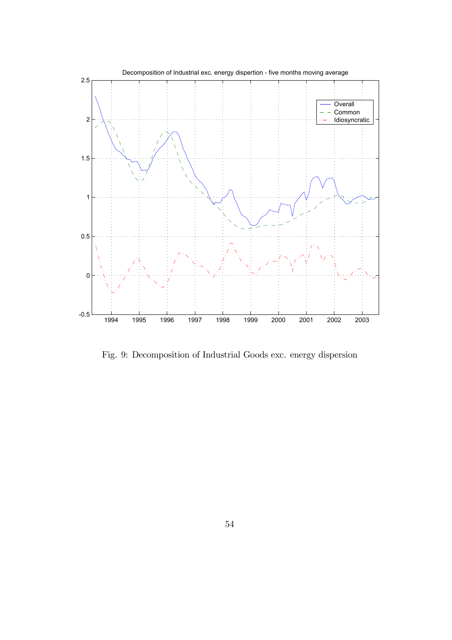

Fig. 9: Decomposition of Industrial Goods exc. energy dispersion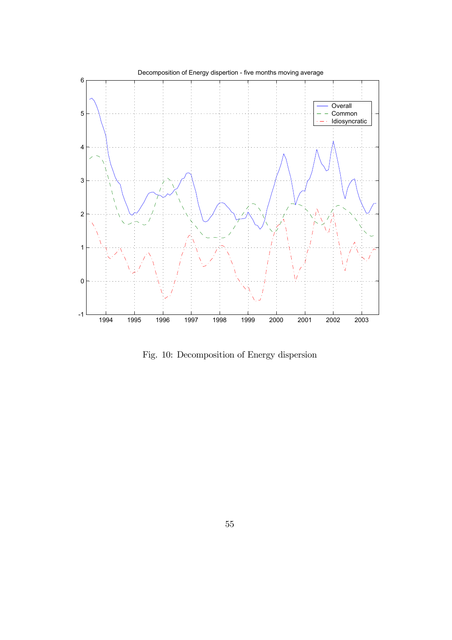

Fig. 10: Decomposition of Energy dispersion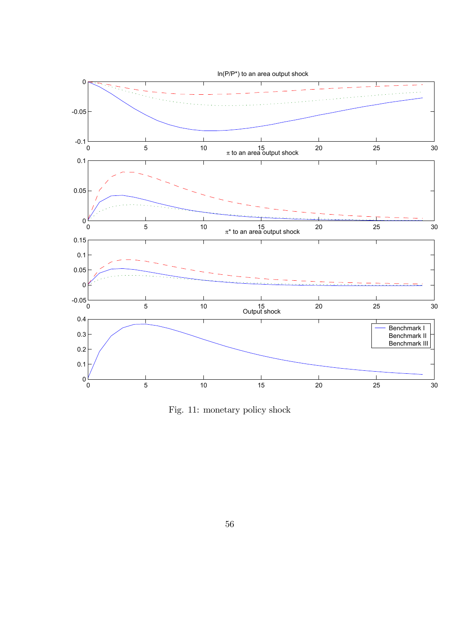

Fig. 11: monetary policy shock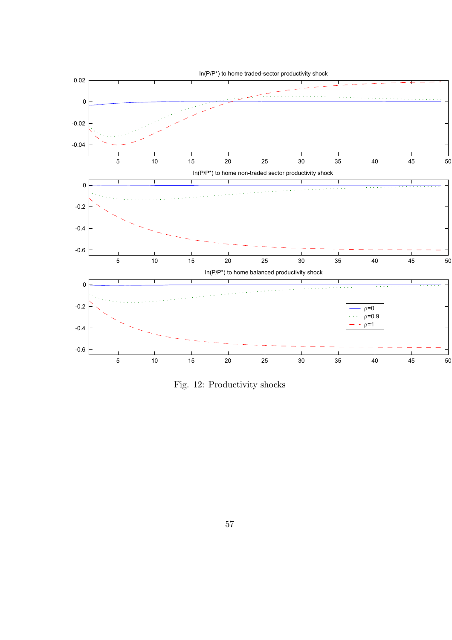

Fig. 12: Productivity shocks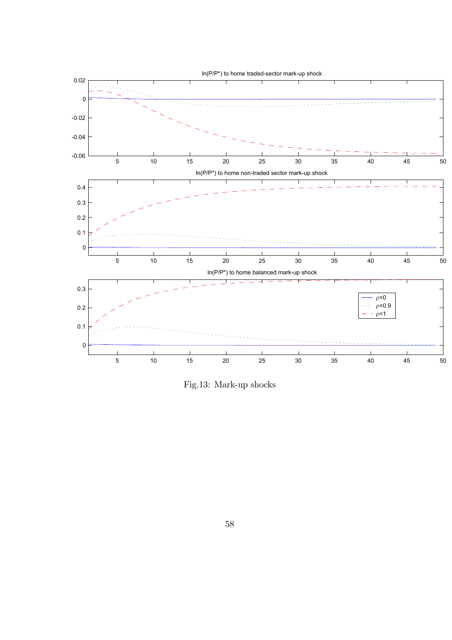

Fig.13: Mark-up shocks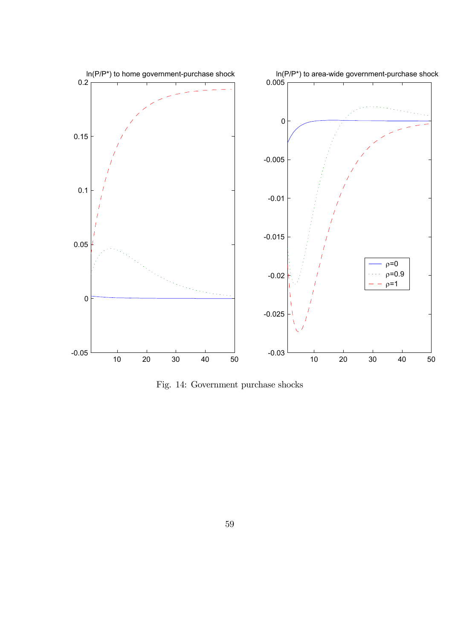

Fig. 14: Government purchase shocks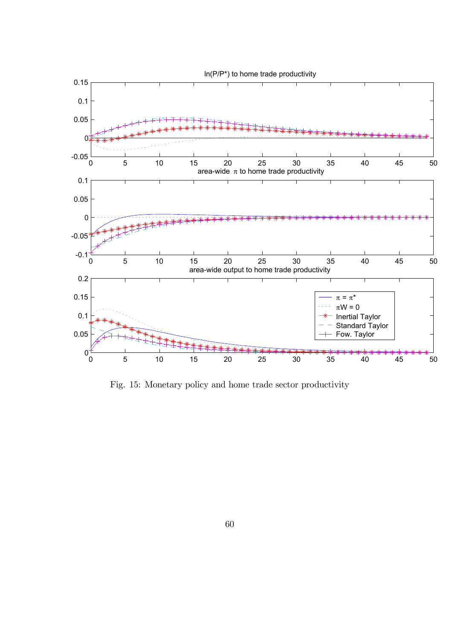

Fig. 15: Monetary policy and home trade sector productivity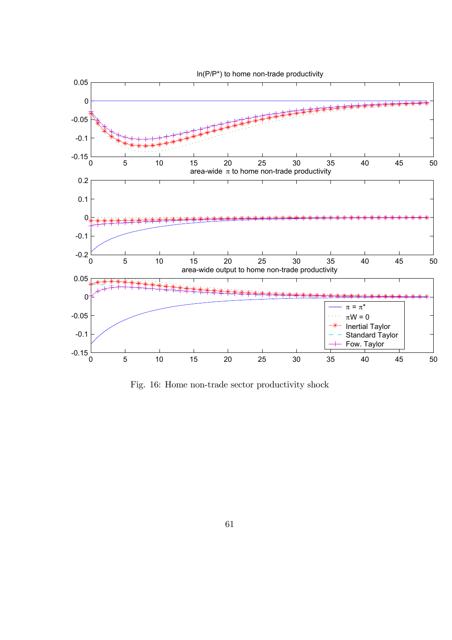

Fig. 16: Home non-trade sector productivity shock